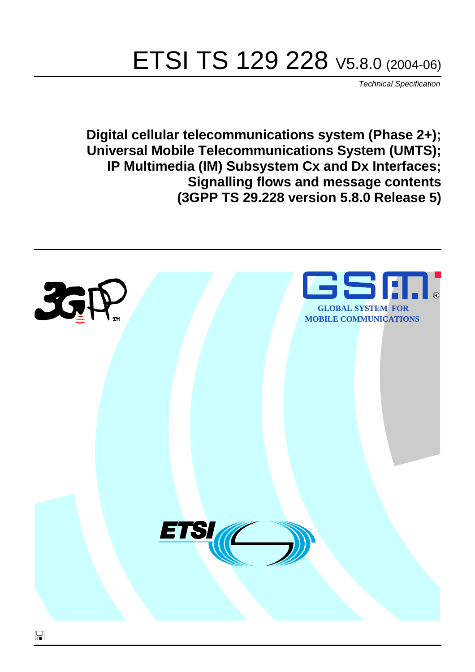# ETSI TS 129 228 V5.8.0 (2004-06)

Technical Specification

**Digital cellular telecommunications system (Phase 2+); Universal Mobile Telecommunications System (UMTS); IP Multimedia (IM) Subsystem Cx and Dx Interfaces; Signalling flows and message contents (3GPP TS 29.228 version 5.8.0 Release 5)**

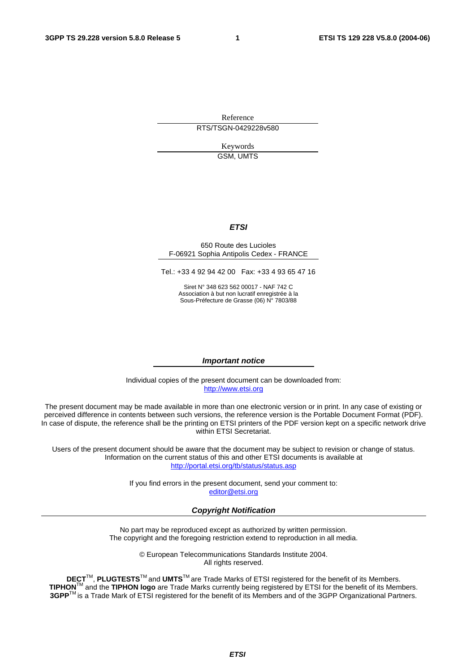Reference RTS/TSGN-0429228v580

> Keywords GSM, UMTS

#### **ETSI**

#### 650 Route des Lucioles F-06921 Sophia Antipolis Cedex - FRANCE

Tel.: +33 4 92 94 42 00 Fax: +33 4 93 65 47 16

Siret N° 348 623 562 00017 - NAF 742 C Association à but non lucratif enregistrée à la Sous-Préfecture de Grasse (06) N° 7803/88

#### **Important notice**

Individual copies of the present document can be downloaded from: [http://www.etsi.org](http://www.etsi.org/)

The present document may be made available in more than one electronic version or in print. In any case of existing or perceived difference in contents between such versions, the reference version is the Portable Document Format (PDF). In case of dispute, the reference shall be the printing on ETSI printers of the PDF version kept on a specific network drive within ETSI Secretariat.

Users of the present document should be aware that the document may be subject to revision or change of status. Information on the current status of this and other ETSI documents is available at <http://portal.etsi.org/tb/status/status.asp>

> If you find errors in the present document, send your comment to: [editor@etsi.org](mailto:editor@etsi.org)

#### **Copyright Notification**

No part may be reproduced except as authorized by written permission. The copyright and the foregoing restriction extend to reproduction in all media.

> © European Telecommunications Standards Institute 2004. All rights reserved.

**DECT**TM, **PLUGTESTS**TM and **UMTS**TM are Trade Marks of ETSI registered for the benefit of its Members. **TIPHON**TM and the **TIPHON logo** are Trade Marks currently being registered by ETSI for the benefit of its Members. **3GPP**TM is a Trade Mark of ETSI registered for the benefit of its Members and of the 3GPP Organizational Partners.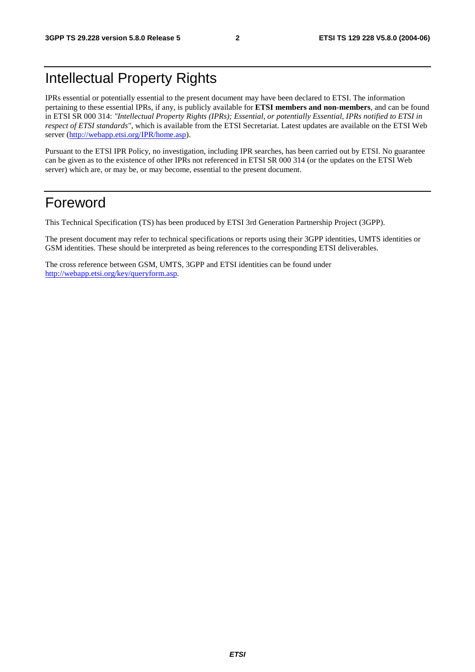## Intellectual Property Rights

IPRs essential or potentially essential to the present document may have been declared to ETSI. The information pertaining to these essential IPRs, if any, is publicly available for **ETSI members and non-members**, and can be found in ETSI SR 000 314: *"Intellectual Property Rights (IPRs); Essential, or potentially Essential, IPRs notified to ETSI in respect of ETSI standards"*, which is available from the ETSI Secretariat. Latest updates are available on the ETSI Web server ([http://webapp.etsi.org/IPR/home.asp\)](http://webapp.etsi.org/IPR/home.asp).

Pursuant to the ETSI IPR Policy, no investigation, including IPR searches, has been carried out by ETSI. No guarantee can be given as to the existence of other IPRs not referenced in ETSI SR 000 314 (or the updates on the ETSI Web server) which are, or may be, or may become, essential to the present document.

## Foreword

This Technical Specification (TS) has been produced by ETSI 3rd Generation Partnership Project (3GPP).

The present document may refer to technical specifications or reports using their 3GPP identities, UMTS identities or GSM identities. These should be interpreted as being references to the corresponding ETSI deliverables.

The cross reference between GSM, UMTS, 3GPP and ETSI identities can be found under [http://webapp.etsi.org/key/queryform.asp.](http://webapp.etsi.org/key/queryform.asp)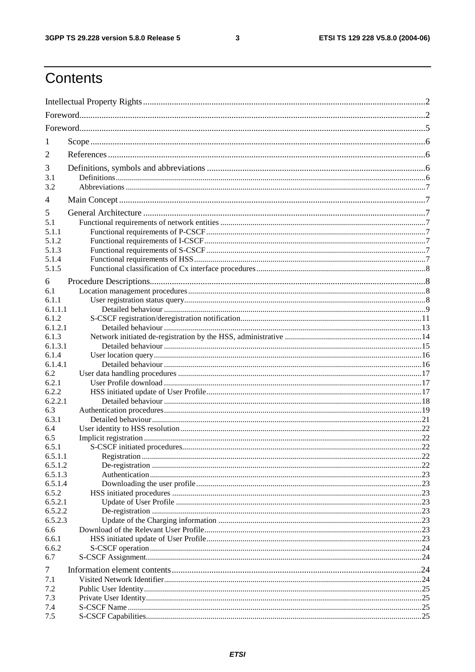$\mathbf{3}$ 

## Contents

| 1              |  |  |  |  |  |  |
|----------------|--|--|--|--|--|--|
| 2              |  |  |  |  |  |  |
| 3              |  |  |  |  |  |  |
| 3.1            |  |  |  |  |  |  |
| 3.2            |  |  |  |  |  |  |
| $\overline{4}$ |  |  |  |  |  |  |
| 5              |  |  |  |  |  |  |
| 5.1            |  |  |  |  |  |  |
| 5.1.1          |  |  |  |  |  |  |
| 5.1.2          |  |  |  |  |  |  |
| 5.1.3          |  |  |  |  |  |  |
| 5.1.4          |  |  |  |  |  |  |
| 5.1.5          |  |  |  |  |  |  |
| 6              |  |  |  |  |  |  |
| 6.1            |  |  |  |  |  |  |
| 6.1.1          |  |  |  |  |  |  |
| 6.1.1.1        |  |  |  |  |  |  |
| 6.1.2          |  |  |  |  |  |  |
| 6.1.2.1        |  |  |  |  |  |  |
| 6.1.3          |  |  |  |  |  |  |
| 6.1.3.1        |  |  |  |  |  |  |
| 6.1.4          |  |  |  |  |  |  |
| 6.1.4.1        |  |  |  |  |  |  |
| 6.2            |  |  |  |  |  |  |
| 6.2.1          |  |  |  |  |  |  |
| 6.2.2          |  |  |  |  |  |  |
| 6.2.2.1        |  |  |  |  |  |  |
| 6.3            |  |  |  |  |  |  |
| 6.3.1          |  |  |  |  |  |  |
| 6.4            |  |  |  |  |  |  |
| 6.5            |  |  |  |  |  |  |
| 6.5.1          |  |  |  |  |  |  |
| 6.5.1.1        |  |  |  |  |  |  |
| 6.5.1.2        |  |  |  |  |  |  |
| 6.5.1.3        |  |  |  |  |  |  |
| 6.5.1.4        |  |  |  |  |  |  |
| 6.5.2          |  |  |  |  |  |  |
| 6.5.2.1        |  |  |  |  |  |  |
| 6.5.2.2        |  |  |  |  |  |  |
| 6.5.2.3        |  |  |  |  |  |  |
| 6.6            |  |  |  |  |  |  |
| 6.6.1          |  |  |  |  |  |  |
| 6.6.2<br>6.7   |  |  |  |  |  |  |
|                |  |  |  |  |  |  |
| 7              |  |  |  |  |  |  |
| 7.1            |  |  |  |  |  |  |
| 7.2            |  |  |  |  |  |  |
| 7.3            |  |  |  |  |  |  |
| 7.4            |  |  |  |  |  |  |
| 7.5            |  |  |  |  |  |  |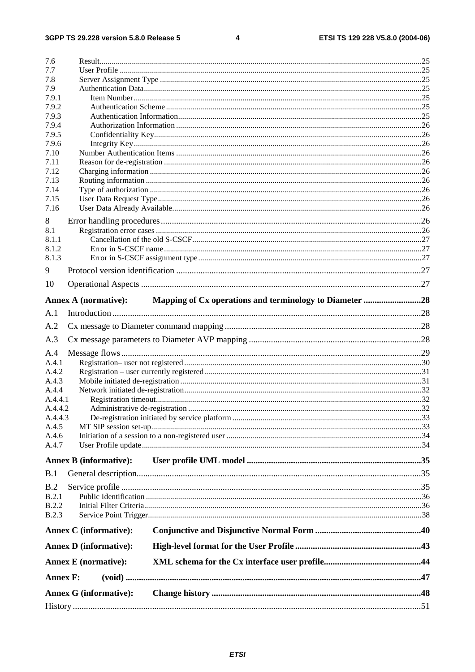#### $\overline{\mathbf{4}}$

| 7.6             |                               |                                                         |  |
|-----------------|-------------------------------|---------------------------------------------------------|--|
| 7.7             |                               |                                                         |  |
| 7.8             |                               |                                                         |  |
| 7.9             |                               |                                                         |  |
| 7.9.1           |                               |                                                         |  |
| 7.9.2           |                               |                                                         |  |
| 7.9.3           |                               |                                                         |  |
| 7.9.4           |                               |                                                         |  |
| 7.9.5           |                               |                                                         |  |
| 7.9.6           |                               |                                                         |  |
| 7.10            |                               |                                                         |  |
| 7.11<br>7.12    |                               |                                                         |  |
| 7.13            |                               |                                                         |  |
| 7.14            |                               |                                                         |  |
| 7.15            |                               |                                                         |  |
| 7.16            |                               |                                                         |  |
|                 |                               |                                                         |  |
| 8               |                               |                                                         |  |
| 8.1             |                               |                                                         |  |
| 8.1.1<br>8.1.2  |                               |                                                         |  |
| 8.1.3           |                               |                                                         |  |
|                 |                               |                                                         |  |
| 9               |                               |                                                         |  |
| 10              |                               |                                                         |  |
|                 | <b>Annex A (normative):</b>   | Mapping of Cx operations and terminology to Diameter 28 |  |
|                 |                               |                                                         |  |
| A.1             |                               |                                                         |  |
| A.2             |                               |                                                         |  |
| A.3             |                               |                                                         |  |
| A.4             |                               |                                                         |  |
| A.4.1           |                               |                                                         |  |
| A.4.2           |                               |                                                         |  |
| A.4.3           |                               |                                                         |  |
| A.4.4           |                               |                                                         |  |
| A.4.4.1         |                               |                                                         |  |
| A.4.4.2         |                               |                                                         |  |
| A.4.4.3         |                               |                                                         |  |
| A.4.5           |                               |                                                         |  |
| A.4.6           |                               |                                                         |  |
| A.4.7           |                               |                                                         |  |
|                 | <b>Annex B</b> (informative): |                                                         |  |
| B.1             |                               |                                                         |  |
| B.2             |                               |                                                         |  |
| B.2.1           |                               |                                                         |  |
| B.2.2           |                               |                                                         |  |
| B.2.3           |                               |                                                         |  |
|                 |                               |                                                         |  |
|                 | <b>Annex C</b> (informative): |                                                         |  |
|                 | <b>Annex D</b> (informative): |                                                         |  |
|                 | <b>Annex E</b> (normative):   |                                                         |  |
|                 |                               |                                                         |  |
| <b>Annex F:</b> |                               |                                                         |  |
|                 | <b>Annex G (informative):</b> |                                                         |  |
|                 |                               |                                                         |  |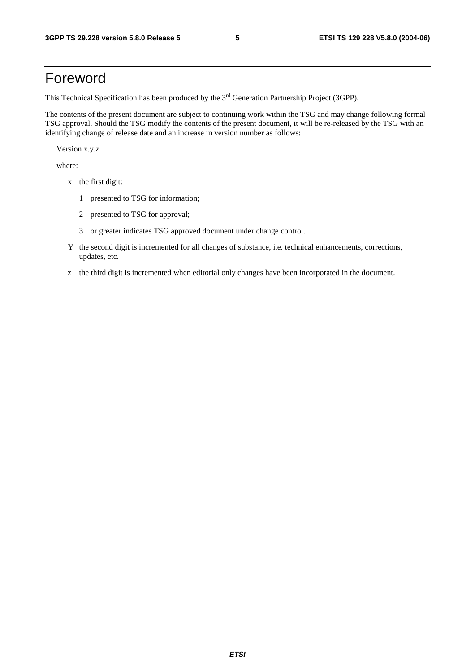## Foreword

This Technical Specification has been produced by the 3<sup>rd</sup> Generation Partnership Project (3GPP).

The contents of the present document are subject to continuing work within the TSG and may change following formal TSG approval. Should the TSG modify the contents of the present document, it will be re-released by the TSG with an identifying change of release date and an increase in version number as follows:

Version x.y.z

where:

- x the first digit:
	- 1 presented to TSG for information;
	- 2 presented to TSG for approval;
	- 3 or greater indicates TSG approved document under change control.
- Y the second digit is incremented for all changes of substance, i.e. technical enhancements, corrections, updates, etc.
- z the third digit is incremented when editorial only changes have been incorporated in the document.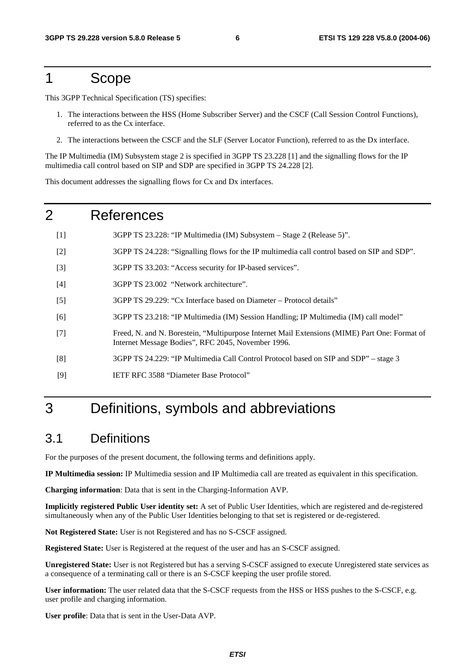## 1 Scope

This 3GPP Technical Specification (TS) specifies:

- 1. The interactions between the HSS (Home Subscriber Server) and the CSCF (Call Session Control Functions), referred to as the Cx interface.
- 2. The interactions between the CSCF and the SLF (Server Locator Function), referred to as the Dx interface.

The IP Multimedia (IM) Subsystem stage 2 is specified in 3GPP TS 23.228 [1] and the signalling flows for the IP multimedia call control based on SIP and SDP are specified in 3GPP TS 24.228 [2].

This document addresses the signalling flows for Cx and Dx interfaces.

### 2 References

- [1] 3GPP TS 23.228: "IP Multimedia (IM) Subsystem Stage 2 (Release 5)".
- [2] 3GPP TS 24.228: "Signalling flows for the IP multimedia call control based on SIP and SDP".
- [3] 3GPP TS 33.203: "Access security for IP-based services".
- [4] 3GPP TS 23.002 "Network architecture".
- [5] 3GPP TS 29.229: "Cx Interface based on Diameter Protocol details"
- [6] 3GPP TS 23.218: "IP Multimedia (IM) Session Handling; IP Multimedia (IM) call model"
- [7] Freed, N. and N. Borestein, "Multipurpose Internet Mail Extensions (MIME) Part One: Format of Internet Message Bodies", RFC 2045, November 1996.
- [8] 3GPP TS 24.229: "IP Multimedia Call Control Protocol based on SIP and SDP" stage 3
- [9] IETF RFC 3588 "Diameter Base Protocol"

## 3 Definitions, symbols and abbreviations

#### 3.1 Definitions

For the purposes of the present document, the following terms and definitions apply.

**IP Multimedia session:** IP Multimedia session and IP Multimedia call are treated as equivalent in this specification.

**Charging information**: Data that is sent in the Charging-Information AVP.

**Implicitly registered Public User identity set:** A set of Public User Identities, which are registered and de-registered simultaneously when any of the Public User Identities belonging to that set is registered or de-registered.

**Not Registered State:** User is not Registered and has no S-CSCF assigned.

**Registered State:** User is Registered at the request of the user and has an S-CSCF assigned.

**Unregistered State:** User is not Registered but has a serving S-CSCF assigned to execute Unregistered state services as a consequence of a terminating call or there is an S-CSCF keeping the user profile stored.

**User information:** The user related data that the S-CSCF requests from the HSS or HSS pushes to the S-CSCF, e.g. user profile and charging information.

**User profile**: Data that is sent in the User-Data AVP.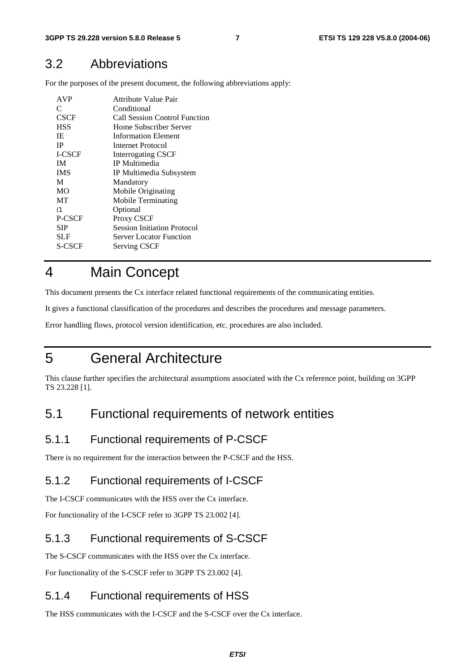#### 3.2 Abbreviations

For the purposes of the present document, the following abbreviations apply:

| <b>AVP</b>    | Attribute Value Pair               |
|---------------|------------------------------------|
| C             | Conditional                        |
| CSCF          | Call Session Control Function      |
| <b>HSS</b>    | Home Subscriber Server             |
| IE.           | <b>Information Element</b>         |
| <b>IP</b>     | Internet Protocol                  |
| <b>I-CSCF</b> | <b>Interrogating CSCF</b>          |
| <b>IM</b>     | <b>IP</b> Multimedia               |
| <b>IMS</b>    | IP Multimedia Subsystem            |
| M             | Mandatory                          |
| <b>MO</b>     | Mobile Originating                 |
| <b>MT</b>     | Mobile Terminating                 |
| (1)           | Optional                           |
| P-CSCF        | Proxy CSCF                         |
| SIP           | <b>Session Initiation Protocol</b> |
| SLF           | Server Locator Function            |
| S-CSCF        | <b>Serving CSCF</b>                |

## 4 Main Concept

This document presents the Cx interface related functional requirements of the communicating entities.

It gives a functional classification of the procedures and describes the procedures and message parameters.

Error handling flows, protocol version identification, etc. procedures are also included.

## 5 General Architecture

This clause further specifies the architectural assumptions associated with the Cx reference point, building on 3GPP TS 23.228 [1].

#### 5.1 Functional requirements of network entities

#### 5.1.1 Functional requirements of P-CSCF

There is no requirement for the interaction between the P-CSCF and the HSS.

#### 5.1.2 Functional requirements of I-CSCF

The I-CSCF communicates with the HSS over the Cx interface.

For functionality of the I-CSCF refer to 3GPP TS 23.002 [4].

#### 5.1.3 Functional requirements of S-CSCF

The S-CSCF communicates with the HSS over the Cx interface.

For functionality of the S-CSCF refer to 3GPP TS 23.002 [4].

#### 5.1.4 Functional requirements of HSS

The HSS communicates with the I-CSCF and the S-CSCF over the Cx interface.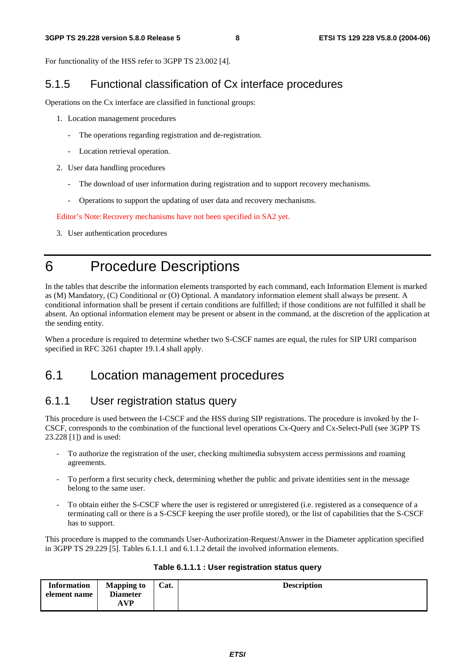For functionality of the HSS refer to 3GPP TS 23.002 [4].

#### 5.1.5 Functional classification of Cx interface procedures

Operations on the Cx interface are classified in functional groups:

- 1. Location management procedures
	- The operations regarding registration and de-registration.
	- Location retrieval operation.
- 2. User data handling procedures
	- The download of user information during registration and to support recovery mechanisms.
	- Operations to support the updating of user data and recovery mechanisms.

Editor's Note: Recovery mechanisms have not been specified in SA2 yet.

3. User authentication procedures

## 6 Procedure Descriptions

In the tables that describe the information elements transported by each command, each Information Element is marked as (M) Mandatory, (C) Conditional or (O) Optional. A mandatory information element shall always be present. A conditional information shall be present if certain conditions are fulfilled; if those conditions are not fulfilled it shall be absent. An optional information element may be present or absent in the command, at the discretion of the application at the sending entity.

When a procedure is required to determine whether two S-CSCF names are equal, the rules for SIP URI comparison specified in RFC 3261 chapter 19.1.4 shall apply.

## 6.1 Location management procedures

#### 6.1.1 User registration status query

This procedure is used between the I-CSCF and the HSS during SIP registrations. The procedure is invoked by the I-CSCF, corresponds to the combination of the functional level operations Cx-Query and Cx-Select-Pull (see 3GPP TS 23.228 [1]) and is used:

- To authorize the registration of the user, checking multimedia subsystem access permissions and roaming agreements.
- To perform a first security check, determining whether the public and private identities sent in the message belong to the same user.
- To obtain either the S-CSCF where the user is registered or unregistered (i.e. registered as a consequence of a terminating call or there is a S-CSCF keeping the user profile stored), or the list of capabilities that the S-CSCF has to support.

This procedure is mapped to the commands User-Authorization-Request/Answer in the Diameter application specified in 3GPP TS 29.229 [5]. Tables 6.1.1.1 and 6.1.1.2 detail the involved information elements.

| <b>Information</b> | <b>Mapping to</b> | Cat. | <b>Description</b> |
|--------------------|-------------------|------|--------------------|
| element name       | <b>Diameter</b>   |      |                    |
|                    | <b>AVP</b>        |      |                    |

#### **Table 6.1.1.1 : User registration status query**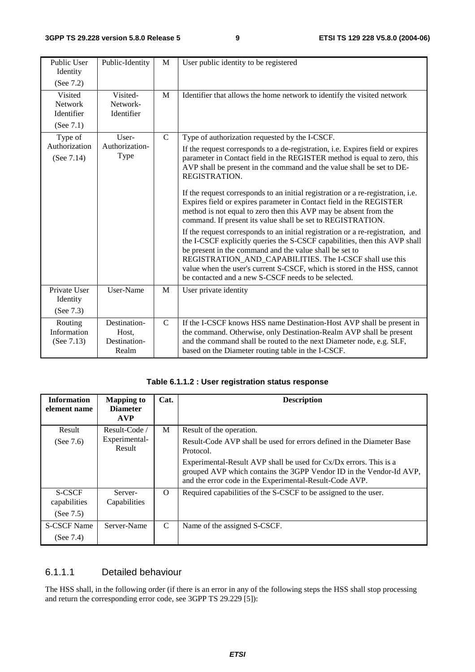| Public User<br>Identity<br>(See 7.2)          | Public-Identity                                | M             | User public identity to be registered                                                                                                                                                                                                                                                                                                                                                                                                                                                                                                                                                                                                                                                                                                                                                                                                                                                                                                                                                                                           |
|-----------------------------------------------|------------------------------------------------|---------------|---------------------------------------------------------------------------------------------------------------------------------------------------------------------------------------------------------------------------------------------------------------------------------------------------------------------------------------------------------------------------------------------------------------------------------------------------------------------------------------------------------------------------------------------------------------------------------------------------------------------------------------------------------------------------------------------------------------------------------------------------------------------------------------------------------------------------------------------------------------------------------------------------------------------------------------------------------------------------------------------------------------------------------|
| Visited<br>Network<br>Identifier<br>(See 7.1) | Visited-<br>Network-<br>Identifier             | M             | Identifier that allows the home network to identify the visited network                                                                                                                                                                                                                                                                                                                                                                                                                                                                                                                                                                                                                                                                                                                                                                                                                                                                                                                                                         |
| Type of<br>Authorization<br>(See 7.14)        | User-<br>Authorization-<br>Type                | $\mathsf{C}$  | Type of authorization requested by the I-CSCF.<br>If the request corresponds to a de-registration, i.e. Expires field or expires<br>parameter in Contact field in the REGISTER method is equal to zero, this<br>AVP shall be present in the command and the value shall be set to DE-<br>REGISTRATION.<br>If the request corresponds to an initial registration or a re-registration, i.e.<br>Expires field or expires parameter in Contact field in the REGISTER<br>method is not equal to zero then this AVP may be absent from the<br>command. If present its value shall be set to REGISTRATION.<br>If the request corresponds to an initial registration or a re-registration, and<br>the I-CSCF explicitly queries the S-CSCF capabilities, then this AVP shall<br>be present in the command and the value shall be set to<br>REGISTRATION_AND_CAPABILITIES. The I-CSCF shall use this<br>value when the user's current S-CSCF, which is stored in the HSS, cannot<br>be contacted and a new S-CSCF needs to be selected. |
| Private User<br>Identity<br>(See 7.3)         | User-Name                                      | M             | User private identity                                                                                                                                                                                                                                                                                                                                                                                                                                                                                                                                                                                                                                                                                                                                                                                                                                                                                                                                                                                                           |
| Routing<br>Information<br>(See $7.13$ )       | Destination-<br>Host,<br>Destination-<br>Realm | $\mathcal{C}$ | If the I-CSCF knows HSS name Destination-Host AVP shall be present in<br>the command. Otherwise, only Destination-Realm AVP shall be present<br>and the command shall be routed to the next Diameter node, e.g. SLF,<br>based on the Diameter routing table in the I-CSCF.                                                                                                                                                                                                                                                                                                                                                                                                                                                                                                                                                                                                                                                                                                                                                      |

|  | Table 6.1.1.2 : User registration status response |  |
|--|---------------------------------------------------|--|
|--|---------------------------------------------------|--|

| <b>Information</b><br>element name | <b>Mapping to</b><br><b>Diameter</b><br><b>AVP</b> | Cat.     | <b>Description</b>                                                                                                                                                                                  |
|------------------------------------|----------------------------------------------------|----------|-----------------------------------------------------------------------------------------------------------------------------------------------------------------------------------------------------|
| Result                             | Result-Code                                        | M        | Result of the operation.                                                                                                                                                                            |
| (See $7.6$ )                       | Experimental-<br>Result                            |          | Result-Code AVP shall be used for errors defined in the Diameter Base<br>Protocol.                                                                                                                  |
|                                    |                                                    |          | Experimental-Result AVP shall be used for Cx/Dx errors. This is a<br>grouped AVP which contains the 3GPP Vendor ID in the Vendor-Id AVP,<br>and the error code in the Experimental-Result-Code AVP. |
| S-CSCF<br>capabilities             | Server-<br>Capabilities                            | $\Omega$ | Required capabilities of the S-CSCF to be assigned to the user.                                                                                                                                     |
| (See $7.5$ )                       |                                                    |          |                                                                                                                                                                                                     |
| <b>S-CSCF Name</b>                 | Server-Name                                        | C        | Name of the assigned S-CSCF.                                                                                                                                                                        |
| (See $7.4$ )                       |                                                    |          |                                                                                                                                                                                                     |

#### 6.1.1.1 Detailed behaviour

The HSS shall, in the following order (if there is an error in any of the following steps the HSS shall stop processing and return the corresponding error code, see 3GPP TS 29.229 [5]):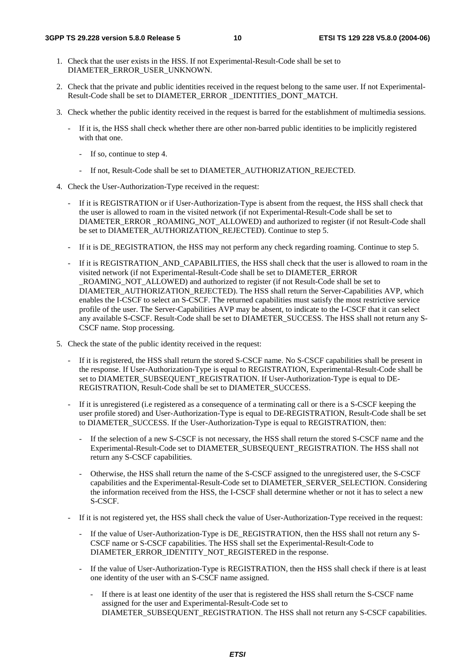- 1. Check that the user exists in the HSS. If not Experimental-Result-Code shall be set to DIAMETER\_ERROR\_USER\_UNKNOWN.
- 2. Check that the private and public identities received in the request belong to the same user. If not Experimental-Result-Code shall be set to DIAMETER\_ERROR \_IDENTITIES\_DONT\_MATCH.
- 3. Check whether the public identity received in the request is barred for the establishment of multimedia sessions.
	- If it is, the HSS shall check whether there are other non-barred public identities to be implicitly registered with that one.
		- If so, continue to step 4.
		- If not, Result-Code shall be set to DIAMETER\_AUTHORIZATION\_REJECTED.
- 4. Check the User-Authorization-Type received in the request:
	- If it is REGISTRATION or if User-Authorization-Type is absent from the request, the HSS shall check that the user is allowed to roam in the visited network (if not Experimental-Result-Code shall be set to DIAMETER\_ERROR\_ROAMING\_NOT\_ALLOWED) and authorized to register (if not Result-Code shall be set to DIAMETER\_AUTHORIZATION\_REJECTED). Continue to step 5.
	- If it is DE\_REGISTRATION, the HSS may not perform any check regarding roaming. Continue to step 5.
	- If it is REGISTRATION\_AND\_CAPABILITIES, the HSS shall check that the user is allowed to roam in the visited network (if not Experimental-Result-Code shall be set to DIAMETER\_ERROR \_ROAMING\_NOT\_ALLOWED) and authorized to register (if not Result-Code shall be set to DIAMETER\_AUTHORIZATION\_REJECTED). The HSS shall return the Server-Capabilities AVP, which enables the I-CSCF to select an S-CSCF. The returned capabilities must satisfy the most restrictive service profile of the user. The Server-Capabilities AVP may be absent, to indicate to the I-CSCF that it can select any available S-CSCF. Result-Code shall be set to DIAMETER\_SUCCESS. The HSS shall not return any S-CSCF name. Stop processing.
- 5. Check the state of the public identity received in the request:
	- If it is registered, the HSS shall return the stored S-CSCF name. No S-CSCF capabilities shall be present in the response. If User-Authorization-Type is equal to REGISTRATION, Experimental-Result-Code shall be set to DIAMETER\_SUBSEQUENT\_REGISTRATION. If User-Authorization-Type is equal to DE-REGISTRATION, Result-Code shall be set to DIAMETER\_SUCCESS.
	- If it is unregistered (i.e registered as a consequence of a terminating call or there is a S-CSCF keeping the user profile stored) and User-Authorization-Type is equal to DE-REGISTRATION, Result-Code shall be set to DIAMETER\_SUCCESS. If the User-Authorization-Type is equal to REGISTRATION, then:
		- If the selection of a new S-CSCF is not necessary, the HSS shall return the stored S-CSCF name and the Experimental-Result-Code set to DIAMETER\_SUBSEQUENT\_REGISTRATION. The HSS shall not return any S-CSCF capabilities.
		- Otherwise, the HSS shall return the name of the S-CSCF assigned to the unregistered user, the S-CSCF capabilities and the Experimental-Result-Code set to DIAMETER\_SERVER\_SELECTION. Considering the information received from the HSS, the I-CSCF shall determine whether or not it has to select a new S-CSCF.
	- If it is not registered yet, the HSS shall check the value of User-Authorization-Type received in the request:
		- If the value of User-Authorization-Type is DE\_REGISTRATION, then the HSS shall not return any S-CSCF name or S-CSCF capabilities. The HSS shall set the Experimental-Result-Code to DIAMETER\_ERROR\_IDENTITY\_NOT\_REGISTERED in the response.
		- If the value of User-Authorization-Type is REGISTRATION, then the HSS shall check if there is at least one identity of the user with an S-CSCF name assigned.
			- If there is at least one identity of the user that is registered the HSS shall return the S-CSCF name assigned for the user and Experimental-Result-Code set to DIAMETER\_SUBSEQUENT\_REGISTRATION. The HSS shall not return any S-CSCF capabilities.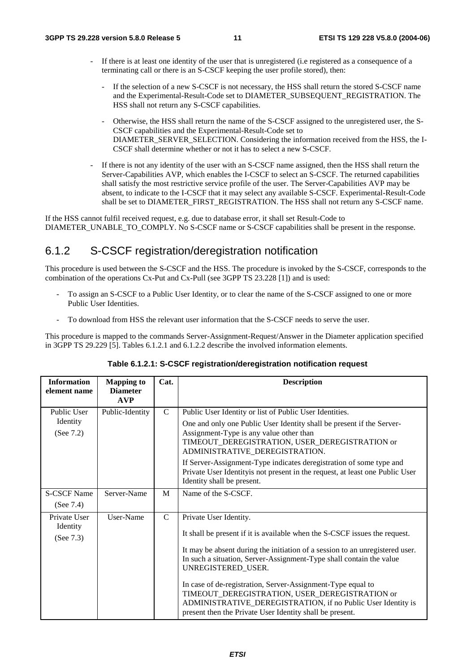- If there is at least one identity of the user that is unregistered (i.e registered as a consequence of a terminating call or there is an S-CSCF keeping the user profile stored), then:
	- If the selection of a new S-CSCF is not necessary, the HSS shall return the stored S-CSCF name and the Experimental-Result-Code set to DIAMETER\_SUBSEQUENT\_REGISTRATION. The HSS shall not return any S-CSCF capabilities.
	- Otherwise, the HSS shall return the name of the S-CSCF assigned to the unregistered user, the S-CSCF capabilities and the Experimental-Result-Code set to DIAMETER\_SERVER\_SELECTION. Considering the information received from the HSS, the I-CSCF shall determine whether or not it has to select a new S-CSCF.
- If there is not any identity of the user with an S-CSCF name assigned, then the HSS shall return the Server-Capabilities AVP, which enables the I-CSCF to select an S-CSCF. The returned capabilities shall satisfy the most restrictive service profile of the user. The Server-Capabilities AVP may be absent, to indicate to the I-CSCF that it may select any available S-CSCF. Experimental-Result-Code shall be set to DIAMETER\_FIRST\_REGISTRATION. The HSS shall not return any S-CSCF name.

If the HSS cannot fulfil received request, e.g. due to database error, it shall set Result-Code to DIAMETER\_UNABLE\_TO\_COMPLY. No S-CSCF name or S-CSCF capabilities shall be present in the response.

#### 6.1.2 S-CSCF registration/deregistration notification

This procedure is used between the S-CSCF and the HSS. The procedure is invoked by the S-CSCF, corresponds to the combination of the operations Cx-Put and Cx-Pull (see 3GPP TS 23.228 [1]) and is used:

- To assign an S-CSCF to a Public User Identity, or to clear the name of the S-CSCF assigned to one or more Public User Identities.
- To download from HSS the relevant user information that the S-CSCF needs to serve the user.

This procedure is mapped to the commands Server-Assignment-Request/Answer in the Diameter application specified in 3GPP TS 29.229 [5]. Tables 6.1.2.1 and 6.1.2.2 describe the involved information elements.

| <b>Information</b>                    | <b>Mapping to</b>             | Cat.          | <b>Description</b>                                                                                                                                                                                                                                                                                                                                                                                                                                                                                                             |
|---------------------------------------|-------------------------------|---------------|--------------------------------------------------------------------------------------------------------------------------------------------------------------------------------------------------------------------------------------------------------------------------------------------------------------------------------------------------------------------------------------------------------------------------------------------------------------------------------------------------------------------------------|
| element name                          | <b>Diameter</b><br><b>AVP</b> |               |                                                                                                                                                                                                                                                                                                                                                                                                                                                                                                                                |
| Public User<br>Identity<br>(See 7.2)  | Public-Identity               | $\mathcal{C}$ | Public User Identity or list of Public User Identities.<br>One and only one Public User Identity shall be present if the Server-<br>Assignment-Type is any value other than<br>TIMEOUT_DEREGISTRATION, USER_DEREGISTRATION or<br>ADMINISTRATIVE_DEREGISTRATION.<br>If Server-Assignment-Type indicates deregistration of some type and<br>Private User Identity is not present in the request, at least one Public User<br>Identity shall be present.                                                                          |
| <b>S-CSCF Name</b><br>(See $7.4$ )    | Server-Name                   | M             | Name of the S-CSCF.                                                                                                                                                                                                                                                                                                                                                                                                                                                                                                            |
| Private User<br>Identity<br>(See 7.3) | User-Name                     | $\mathcal{C}$ | Private User Identity.<br>It shall be present if it is available when the S-CSCF issues the request.<br>It may be absent during the initiation of a session to an unregistered user.<br>In such a situation, Server-Assignment-Type shall contain the value<br>UNREGISTERED_USER.<br>In case of de-registration, Server-Assignment-Type equal to<br>TIMEOUT_DEREGISTRATION, USER_DEREGISTRATION or<br>ADMINISTRATIVE_DEREGISTRATION, if no Public User Identity is<br>present then the Private User Identity shall be present. |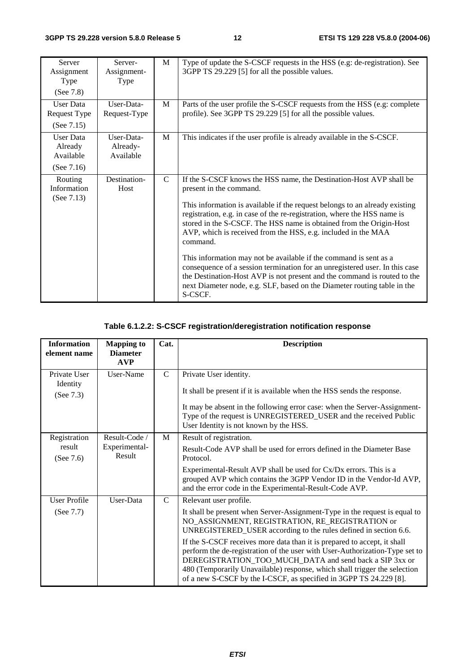| <b>Server</b><br>Assignment<br>Type<br>(See 7.8) | Server-<br>Assignment-<br>Type      | M             | Type of update the S-CSCF requests in the HSS (e.g: de-registration). See<br>3GPP TS 29.229 [5] for all the possible values.                                                                                                                                                                                                                                                                                                                                                                                                                                                                                                                                                                                              |
|--------------------------------------------------|-------------------------------------|---------------|---------------------------------------------------------------------------------------------------------------------------------------------------------------------------------------------------------------------------------------------------------------------------------------------------------------------------------------------------------------------------------------------------------------------------------------------------------------------------------------------------------------------------------------------------------------------------------------------------------------------------------------------------------------------------------------------------------------------------|
| User Data<br><b>Request Type</b>                 | User-Data-<br>Request-Type          | M             | Parts of the user profile the S-CSCF requests from the HSS (e.g. complete<br>profile). See 3GPP TS 29.229 [5] for all the possible values.                                                                                                                                                                                                                                                                                                                                                                                                                                                                                                                                                                                |
| (See $7.15$ )                                    |                                     |               |                                                                                                                                                                                                                                                                                                                                                                                                                                                                                                                                                                                                                                                                                                                           |
| User Data<br>Already<br>Available                | User-Data-<br>Already-<br>Available | M             | This indicates if the user profile is already available in the S-CSCF.                                                                                                                                                                                                                                                                                                                                                                                                                                                                                                                                                                                                                                                    |
| (See $7.16$ )                                    |                                     |               |                                                                                                                                                                                                                                                                                                                                                                                                                                                                                                                                                                                                                                                                                                                           |
| Routing<br>Information<br>(See $7.13$ )          | Destination-<br>Host                | $\mathcal{C}$ | If the S-CSCF knows the HSS name, the Destination-Host AVP shall be<br>present in the command.<br>This information is available if the request belongs to an already existing<br>registration, e.g. in case of the re-registration, where the HSS name is<br>stored in the S-CSCF. The HSS name is obtained from the Origin-Host<br>AVP, which is received from the HSS, e.g. included in the MAA<br>command.<br>This information may not be available if the command is sent as a<br>consequence of a session termination for an unregistered user. In this case<br>the Destination-Host AVP is not present and the command is routed to the<br>next Diameter node, e.g. SLF, based on the Diameter routing table in the |

#### **Table 6.1.2.2: S-CSCF registration/deregistration notification response**

| <b>Information</b><br>element name    | <b>Mapping to</b><br><b>Diameter</b>     | Cat.          | <b>Description</b>                                                                                                                                                                                                                                                                                                                                                    |
|---------------------------------------|------------------------------------------|---------------|-----------------------------------------------------------------------------------------------------------------------------------------------------------------------------------------------------------------------------------------------------------------------------------------------------------------------------------------------------------------------|
|                                       | <b>AVP</b>                               |               |                                                                                                                                                                                                                                                                                                                                                                       |
| Private User<br>Identity<br>(See 7.3) | User-Name                                | $\mathcal{C}$ | Private User identity.<br>It shall be present if it is available when the HSS sends the response.<br>It may be absent in the following error case: when the Server-Assignment-<br>Type of the request is UNREGISTERED_USER and the received Public<br>User Identity is not known by the HSS.                                                                          |
| Registration<br>result<br>(See 7.6)   | Result-Code /<br>Experimental-<br>Result | M             | Result of registration.<br>Result-Code AVP shall be used for errors defined in the Diameter Base<br>Protocol.                                                                                                                                                                                                                                                         |
|                                       |                                          |               | Experimental-Result AVP shall be used for Cx/Dx errors. This is a<br>grouped AVP which contains the 3GPP Vendor ID in the Vendor-Id AVP,<br>and the error code in the Experimental-Result-Code AVP.                                                                                                                                                                   |
| <b>User Profile</b>                   | User-Data                                | $\mathcal{C}$ | Relevant user profile.                                                                                                                                                                                                                                                                                                                                                |
| (See 7.7)                             |                                          |               | It shall be present when Server-Assignment-Type in the request is equal to<br>NO_ASSIGNMENT, REGISTRATION, RE_REGISTRATION or<br>UNREGISTERED_USER according to the rules defined in section 6.6.                                                                                                                                                                     |
|                                       |                                          |               | If the S-CSCF receives more data than it is prepared to accept, it shall<br>perform the de-registration of the user with User-Authorization-Type set to<br>DEREGISTRATION_TOO_MUCH_DATA and send back a SIP 3xx or<br>480 (Temporarily Unavailable) response, which shall trigger the selection<br>of a new S-CSCF by the I-CSCF, as specified in 3GPP TS 24.229 [8]. |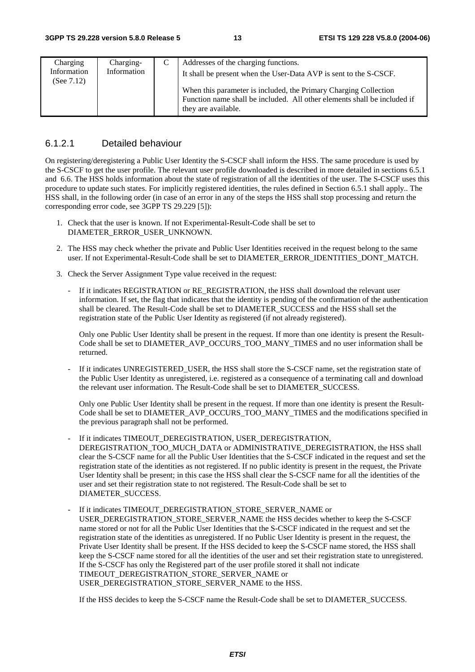| Charging                     | Charging-   | Addresses of the charging functions.                                                                                                                                                                                                     |
|------------------------------|-------------|------------------------------------------------------------------------------------------------------------------------------------------------------------------------------------------------------------------------------------------|
| Information<br>(See $7.12$ ) | Information | It shall be present when the User-Data AVP is sent to the S-CSCF.<br>When this parameter is included, the Primary Charging Collection<br>Function name shall be included. All other elements shall be included if<br>they are available. |

#### 6.1.2.1 Detailed behaviour

On registering/deregistering a Public User Identity the S-CSCF shall inform the HSS. The same procedure is used by the S-CSCF to get the user profile. The relevant user profile downloaded is described in more detailed in sections 6.5.1 and 6.6. The HSS holds information about the state of registration of all the identities of the user. The S-CSCF uses this procedure to update such states. For implicitly registered identities, the rules defined in Section 6.5.1 shall apply.. The HSS shall, in the following order (in case of an error in any of the steps the HSS shall stop processing and return the corresponding error code, see 3GPP TS 29.229 [5]):

- 1. Check that the user is known. If not Experimental-Result-Code shall be set to DIAMETER\_ERROR\_USER\_UNKNOWN.
- 2. The HSS may check whether the private and Public User Identities received in the request belong to the same user. If not Experimental-Result-Code shall be set to DIAMETER\_ERROR\_IDENTITIES\_DONT\_MATCH.
- 3. Check the Server Assignment Type value received in the request:
	- If it indicates REGISTRATION or RE\_REGISTRATION, the HSS shall download the relevant user information. If set, the flag that indicates that the identity is pending of the confirmation of the authentication shall be cleared. The Result-Code shall be set to DIAMETER\_SUCCESS and the HSS shall set the registration state of the Public User Identity as registered (if not already registered).

 Only one Public User Identity shall be present in the request. If more than one identity is present the Result-Code shall be set to DIAMETER\_AVP\_OCCURS\_TOO\_MANY\_TIMES and no user information shall be returned.

If it indicates UNREGISTERED\_USER, the HSS shall store the S-CSCF name, set the registration state of the Public User Identity as unregistered, i.e. registered as a consequence of a terminating call and download the relevant user information. The Result-Code shall be set to DIAMETER\_SUCCESS.

 Only one Public User Identity shall be present in the request. If more than one identity is present the Result-Code shall be set to DIAMETER\_AVP\_OCCURS\_TOO\_MANY\_TIMES and the modifications specified in the previous paragraph shall not be performed.

If it indicates TIMEOUT\_DEREGISTRATION, USER\_DEREGISTRATION,

DEREGISTRATION\_TOO\_MUCH\_DATA or ADMINISTRATIVE\_DEREGISTRATION, the HSS shall clear the S-CSCF name for all the Public User Identities that the S-CSCF indicated in the request and set the registration state of the identities as not registered. If no public identity is present in the request, the Private User Identity shall be present; in this case the HSS shall clear the S-CSCF name for all the identities of the user and set their registration state to not registered. The Result-Code shall be set to DIAMETER\_SUCCESS.

If it indicates TIMEOUT\_DEREGISTRATION\_STORE\_SERVER\_NAME or

USER\_DEREGISTRATION\_STORE\_SERVER\_NAME the HSS decides whether to keep the S-CSCF name stored or not for all the Public User Identities that the S-CSCF indicated in the request and set the registration state of the identities as unregistered. If no Public User Identity is present in the request, the Private User Identity shall be present. If the HSS decided to keep the S-CSCF name stored, the HSS shall keep the S-CSCF name stored for all the identities of the user and set their registration state to unregistered. If the S-CSCF has only the Registered part of the user profile stored it shall not indicate TIMEOUT\_DEREGISTRATION\_STORE\_SERVER\_NAME or USER\_DEREGISTRATION\_STORE\_SERVER\_NAME to the HSS.

If the HSS decides to keep the S-CSCF name the Result-Code shall be set to DIAMETER\_SUCCESS.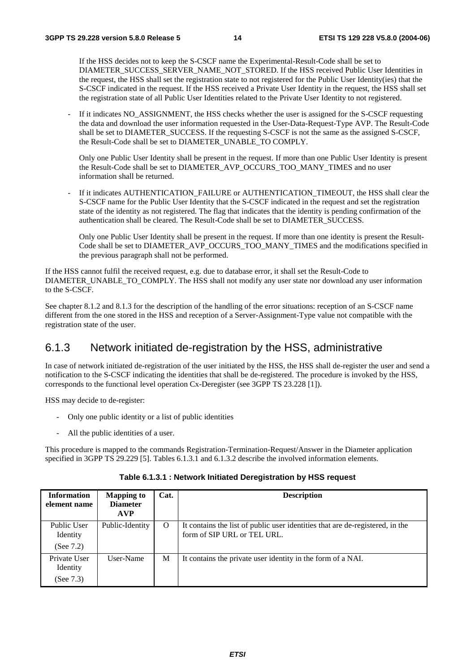If the HSS decides not to keep the S-CSCF name the Experimental-Result-Code shall be set to DIAMETER\_SUCCESS\_SERVER\_NAME\_NOT\_STORED. If the HSS received Public User Identities in the request, the HSS shall set the registration state to not registered for the Public User Identity(ies) that the S-CSCF indicated in the request. If the HSS received a Private User Identity in the request, the HSS shall set the registration state of all Public User Identities related to the Private User Identity to not registered.

If it indicates NO\_ASSIGNMENT, the HSS checks whether the user is assigned for the S-CSCF requesting the data and download the user information requested in the User-Data-Request-Type AVP. The Result-Code shall be set to DIAMETER\_SUCCESS. If the requesting S-CSCF is not the same as the assigned S-CSCF, the Result-Code shall be set to DIAMETER\_UNABLE\_TO COMPLY.

 Only one Public User Identity shall be present in the request. If more than one Public User Identity is present the Result-Code shall be set to DIAMETER\_AVP\_OCCURS\_TOO\_MANY\_TIMES and no user information shall be returned.

If it indicates AUTHENTICATION\_FAILURE or AUTHENTICATION\_TIMEOUT, the HSS shall clear the S-CSCF name for the Public User Identity that the S-CSCF indicated in the request and set the registration state of the identity as not registered. The flag that indicates that the identity is pending confirmation of the authentication shall be cleared. The Result-Code shall be set to DIAMETER\_SUCCESS.

 Only one Public User Identity shall be present in the request. If more than one identity is present the Result-Code shall be set to DIAMETER\_AVP\_OCCURS\_TOO\_MANY\_TIMES and the modifications specified in the previous paragraph shall not be performed.

If the HSS cannot fulfil the received request, e.g. due to database error, it shall set the Result-Code to DIAMETER\_UNABLE\_TO\_COMPLY. The HSS shall not modify any user state nor download any user information to the S-CSCF.

See chapter 8.1.2 and 8.1.3 for the description of the handling of the error situations: reception of an S-CSCF name different from the one stored in the HSS and reception of a Server-Assignment-Type value not compatible with the registration state of the user.

#### 6.1.3 Network initiated de-registration by the HSS, administrative

In case of network initiated de-registration of the user initiated by the HSS, the HSS shall de-register the user and send a notification to the S-CSCF indicating the identities that shall be de-registered. The procedure is invoked by the HSS, corresponds to the functional level operation Cx-Deregister (see 3GPP TS 23.228 [1]).

HSS may decide to de-register:

- Only one public identity or a list of public identities
- All the public identities of a user.

This procedure is mapped to the commands Registration-Termination-Request/Answer in the Diameter application specified in 3GPP TS 29.229 [5]. Tables 6.1.3.1 and 6.1.3.2 describe the involved information elements.

| <b>Information</b><br>element name      | <b>Mapping to</b><br><b>Diameter</b><br><b>AVP</b> | Cat.     | <b>Description</b>                                                                                           |
|-----------------------------------------|----------------------------------------------------|----------|--------------------------------------------------------------------------------------------------------------|
| Public User<br>Identity<br>(See $7.2$ ) | Public-Identity                                    | $\Omega$ | It contains the list of public user identities that are de-registered, in the<br>form of SIP URL or TEL URL. |
| Private User<br>Identity<br>(See 7.3)   | User-Name                                          | М        | It contains the private user identity in the form of a NAI.                                                  |

**Table 6.1.3.1 : Network Initiated Deregistration by HSS request**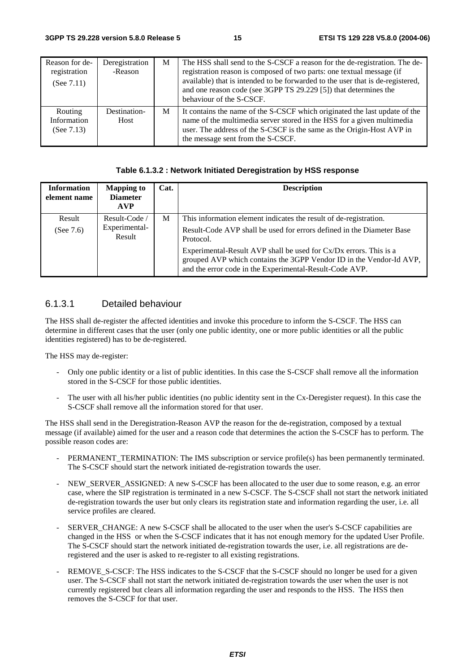| Reason for de-<br>registration<br>(See $7.11$ ) | Deregistration<br>-Reason | M | The HSS shall send to the S-CSCF a reason for the de-registration. The de-<br>registration reason is composed of two parts: one textual message (if<br>available) that is intended to be forwarded to the user that is de-registered,<br>and one reason code (see 3GPP TS 29.229 [5]) that determines the<br>behaviour of the S-CSCF. |
|-------------------------------------------------|---------------------------|---|---------------------------------------------------------------------------------------------------------------------------------------------------------------------------------------------------------------------------------------------------------------------------------------------------------------------------------------|
| Routing<br>Information<br>(See $7.13$ )         | Destination-<br>Host      | М | It contains the name of the S-CSCF which originated the last update of the<br>name of the multimedia server stored in the HSS for a given multimedia<br>user. The address of the S-CSCF is the same as the Origin-Host AVP in<br>the message sent from the S-CSCF.                                                                    |

#### **Table 6.1.3.2 : Network Initiated Deregistration by HSS response**

| <b>Information</b><br>element name | <b>Mapping to</b><br><b>Diameter</b><br><b>AVP</b> | Cat. | <b>Description</b>                                                                                                                                                                                  |
|------------------------------------|----------------------------------------------------|------|-----------------------------------------------------------------------------------------------------------------------------------------------------------------------------------------------------|
| Result<br>(See $7.6$ )             | Result-Code /<br>Experimental-<br>Result           | M    | This information element indicates the result of de-registration.<br>Result-Code AVP shall be used for errors defined in the Diameter Base<br>Protocol.                                             |
|                                    |                                                    |      | Experimental-Result AVP shall be used for Cx/Dx errors. This is a<br>grouped AVP which contains the 3GPP Vendor ID in the Vendor-Id AVP,<br>and the error code in the Experimental-Result-Code AVP. |

#### 6.1.3.1 Detailed behaviour

The HSS shall de-register the affected identities and invoke this procedure to inform the S-CSCF. The HSS can determine in different cases that the user (only one public identity, one or more public identities or all the public identities registered) has to be de-registered.

The HSS may de-register:

- Only one public identity or a list of public identities. In this case the S-CSCF shall remove all the information stored in the S-CSCF for those public identities.
- The user with all his/her public identities (no public identity sent in the Cx-Deregister request). In this case the S-CSCF shall remove all the information stored for that user.

The HSS shall send in the Deregistration-Reason AVP the reason for the de-registration, composed by a textual message (if available) aimed for the user and a reason code that determines the action the S-CSCF has to perform. The possible reason codes are:

- PERMANENT\_TERMINATION: The IMS subscription or service profile(s) has been permanently terminated. The S-CSCF should start the network initiated de-registration towards the user.
- NEW\_SERVER\_ASSIGNED: A new S-CSCF has been allocated to the user due to some reason, e.g. an error case, where the SIP registration is terminated in a new S-CSCF. The S-CSCF shall not start the network initiated de-registration towards the user but only clears its registration state and information regarding the user, i.e. all service profiles are cleared.
- SERVER\_CHANGE: A new S-CSCF shall be allocated to the user when the user's S-CSCF capabilities are changed in the HSS or when the S-CSCF indicates that it has not enough memory for the updated User Profile. The S-CSCF should start the network initiated de-registration towards the user, i.e. all registrations are deregistered and the user is asked to re-register to all existing registrations.
- REMOVE\_S-CSCF: The HSS indicates to the S-CSCF that the S-CSCF should no longer be used for a given user. The S-CSCF shall not start the network initiated de-registration towards the user when the user is not currently registered but clears all information regarding the user and responds to the HSS. The HSS then removes the S-CSCF for that user.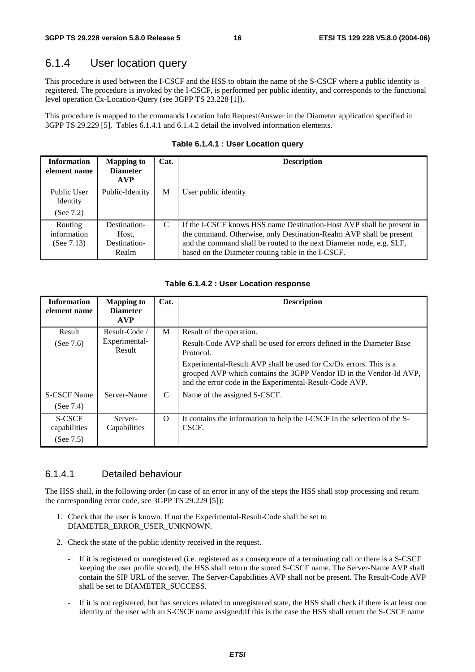#### 6.1.4 User location query

This procedure is used between the I-CSCF and the HSS to obtain the name of the S-CSCF where a public identity is registered. The procedure is invoked by the I-CSCF, is performed per public identity, and corresponds to the functional level operation Cx-Location-Query (see 3GPP TS 23.228 [1]).

This procedure is mapped to the commands Location Info Request/Answer in the Diameter application specified in 3GPP TS 29.229 [5]. Tables 6.1.4.1 and 6.1.4.2 detail the involved information elements.

| <b>Information</b><br>element name      | <b>Mapping to</b><br><b>Diameter</b><br><b>AVP</b> | Cat. | <b>Description</b>                                                                                                                                                                                                                                                         |
|-----------------------------------------|----------------------------------------------------|------|----------------------------------------------------------------------------------------------------------------------------------------------------------------------------------------------------------------------------------------------------------------------------|
| Public User<br>Identity<br>(See $7.2$ ) | Public-Identity                                    | М    | User public identity                                                                                                                                                                                                                                                       |
| Routing<br>information<br>(See $7.13$ ) | Destination-<br>Host,<br>Destination-<br>Realm     | C    | If the I-CSCF knows HSS name Destination-Host AVP shall be present in<br>the command. Otherwise, only Destination-Realm AVP shall be present<br>and the command shall be routed to the next Diameter node, e.g. SLF,<br>based on the Diameter routing table in the I-CSCF. |

**Table 6.1.4.1 : User Location query** 

#### **Table 6.1.4.2 : User Location response**

| <b>Information</b><br>element name | <b>Mapping to</b><br><b>Diameter</b><br><b>AVP</b> | Cat.     | <b>Description</b>                                                                                                                                                                                  |
|------------------------------------|----------------------------------------------------|----------|-----------------------------------------------------------------------------------------------------------------------------------------------------------------------------------------------------|
| Result                             | Result-Code                                        | M        | Result of the operation.                                                                                                                                                                            |
| (See $7.6$ )                       | Experimental-<br>Result                            |          | Result-Code AVP shall be used for errors defined in the Diameter Base<br>Protocol.                                                                                                                  |
|                                    |                                                    |          | Experimental-Result AVP shall be used for Cx/Dx errors. This is a<br>grouped AVP which contains the 3GPP Vendor ID in the Vendor-Id AVP,<br>and the error code in the Experimental-Result-Code AVP. |
| <b>S-CSCF Name</b>                 | Server-Name                                        | C        | Name of the assigned S-CSCF.                                                                                                                                                                        |
| (See $7.4$ )                       |                                                    |          |                                                                                                                                                                                                     |
| <b>S-CSCF</b><br>capabilities      | Server-<br>Capabilities                            | $\Omega$ | It contains the information to help the I-CSCF in the selection of the S-<br>CSCF.                                                                                                                  |
| (See $7.5$ )                       |                                                    |          |                                                                                                                                                                                                     |

#### 6.1.4.1 Detailed behaviour

The HSS shall, in the following order (in case of an error in any of the steps the HSS shall stop processing and return the corresponding error code, see 3GPP TS 29.229 [5]):

- 1. Check that the user is known. If not the Experimental-Result-Code shall be set to DIAMETER\_ERROR\_USER\_UNKNOWN.
- 2. Check the state of the public identity received in the request.
	- If it is registered or unregistered (i.e. registered as a consequence of a terminating call or there is a S-CSCF keeping the user profile stored), the HSS shall return the stored S-CSCF name. The Server-Name AVP shall contain the SIP URL of the server. The Server-Capabilities AVP shall not be present. The Result-Code AVP shall be set to DIAMETER\_SUCCESS.
	- If it is not registered, but has services related to unregistered state, the HSS shall check if there is at least one identity of the user with an S-CSCF name assigned:If this is the case the HSS shall return the S-CSCF name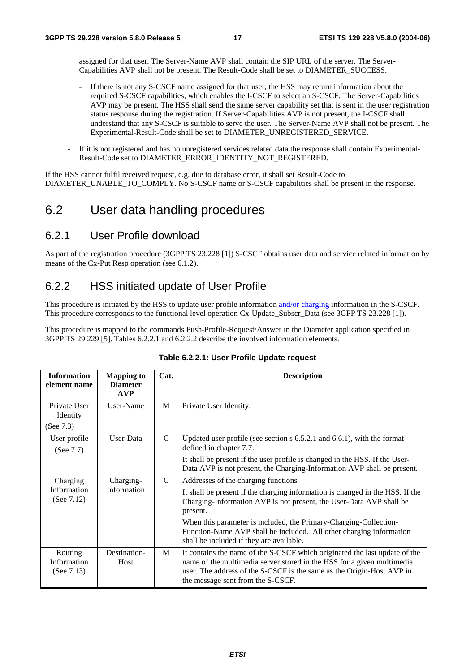assigned for that user. The Server-Name AVP shall contain the SIP URL of the server. The Server-Capabilities AVP shall not be present. The Result-Code shall be set to DIAMETER\_SUCCESS.

- If there is not any S-CSCF name assigned for that user, the HSS may return information about the required S-CSCF capabilities, which enables the I-CSCF to select an S-CSCF. The Server-Capabilities AVP may be present. The HSS shall send the same server capability set that is sent in the user registration status response during the registration. If Server-Capabilities AVP is not present, the I-CSCF shall understand that any S-CSCF is suitable to serve the user. The Server-Name AVP shall not be present. The Experimental-Result-Code shall be set to DIAMETER\_UNREGISTERED\_SERVICE.
- If it is not registered and has no unregistered services related data the response shall contain Experimental-Result-Code set to DIAMETER\_ERROR\_IDENTITY\_NOT\_REGISTERED.

If the HSS cannot fulfil received request, e.g. due to database error, it shall set Result-Code to DIAMETER\_UNABLE\_TO\_COMPLY. No S-CSCF name or S-CSCF capabilities shall be present in the response.

## 6.2 User data handling procedures

#### 6.2.1 User Profile download

As part of the registration procedure (3GPP TS 23.228 [1]) S-CSCF obtains user data and service related information by means of the Cx-Put Resp operation (see 6.1.2).

#### 6.2.2 HSS initiated update of User Profile

This procedure is initiated by the HSS to update user profile information and/or charging information in the S-CSCF. This procedure corresponds to the functional level operation Cx-Update\_Subscr\_Data (see 3GPP TS 23.228 [1]).

This procedure is mapped to the commands Push-Profile-Request/Answer in the Diameter application specified in 3GPP TS 29.229 [5]. Tables 6.2.2.1 and 6.2.2.2 describe the involved information elements.

| <b>Information</b><br>element name      | <b>Mapping to</b><br><b>Diameter</b><br><b>AVP</b> | Cat.          | <b>Description</b>                                                                                                                                                                                                                                                 |
|-----------------------------------------|----------------------------------------------------|---------------|--------------------------------------------------------------------------------------------------------------------------------------------------------------------------------------------------------------------------------------------------------------------|
| Private User<br>Identity                | User-Name                                          | M             | Private User Identity.                                                                                                                                                                                                                                             |
| (See 7.3)                               |                                                    |               |                                                                                                                                                                                                                                                                    |
| User profile<br>(See 7.7)               | User-Data                                          | $\mathsf{C}$  | Updated user profile (see section $s$ 6.5.2.1 and 6.6.1), with the format<br>defined in chapter 7.7.                                                                                                                                                               |
|                                         |                                                    |               | It shall be present if the user profile is changed in the HSS. If the User-<br>Data AVP is not present, the Charging-Information AVP shall be present.                                                                                                             |
| Charging                                | Charging-                                          | $\mathcal{C}$ | Addresses of the charging functions.                                                                                                                                                                                                                               |
| Information<br>(See $7.12$ )            | Information                                        |               | It shall be present if the charging information is changed in the HSS. If the<br>Charging-Information AVP is not present, the User-Data AVP shall be<br>present.                                                                                                   |
|                                         |                                                    |               | When this parameter is included, the Primary-Charging-Collection-<br>Function-Name AVP shall be included. All other charging information<br>shall be included if they are available.                                                                               |
| Routing<br>Information<br>(See $7.13$ ) | Destination-<br>Host                               | M             | It contains the name of the S-CSCF which originated the last update of the<br>name of the multimedia server stored in the HSS for a given multimedia<br>user. The address of the S-CSCF is the same as the Origin-Host AVP in<br>the message sent from the S-CSCF. |

#### **Table 6.2.2.1: User Profile Update request**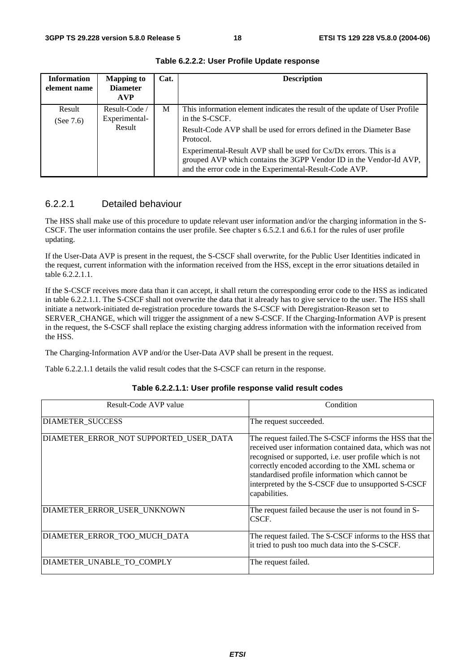| <b>Information</b><br>element name | <b>Mapping to</b><br><b>Diameter</b><br><b>AVP</b> | Cat. | <b>Description</b>                                                                                                                                                                                  |
|------------------------------------|----------------------------------------------------|------|-----------------------------------------------------------------------------------------------------------------------------------------------------------------------------------------------------|
| Result<br>(See $7.6$ )             | Result-Code /<br>Experimental-                     | М    | This information element indicates the result of the update of User Profile<br>in the S-CSCF.                                                                                                       |
|                                    | Result                                             |      | Result-Code AVP shall be used for errors defined in the Diameter Base<br>Protocol.                                                                                                                  |
|                                    |                                                    |      | Experimental-Result AVP shall be used for Cx/Dx errors. This is a<br>grouped AVP which contains the 3GPP Vendor ID in the Vendor-Id AVP,<br>and the error code in the Experimental-Result-Code AVP. |

**Table 6.2.2.2: User Profile Update response** 

#### 6.2.2.1 Detailed behaviour

The HSS shall make use of this procedure to update relevant user information and/or the charging information in the S-CSCF. The user information contains the user profile. See chapter s 6.5.2.1 and 6.6.1 for the rules of user profile updating.

If the User-Data AVP is present in the request, the S-CSCF shall overwrite, for the Public User Identities indicated in the request, current information with the information received from the HSS, except in the error situations detailed in table 6.2.2.1.1.

If the S-CSCF receives more data than it can accept, it shall return the corresponding error code to the HSS as indicated in table 6.2.2.1.1. The S-CSCF shall not overwrite the data that it already has to give service to the user. The HSS shall initiate a network-initiated de-registration procedure towards the S-CSCF with Deregistration-Reason set to SERVER\_CHANGE, which will trigger the assignment of a new S-CSCF. If the Charging-Information AVP is present in the request, the S-CSCF shall replace the existing charging address information with the information received from the HSS.

The Charging-Information AVP and/or the User-Data AVP shall be present in the request.

Table 6.2.2.1.1 details the valid result codes that the S-CSCF can return in the response.

| Result-Code AVP value                  | Condition                                                                                                                                                                                                                                                                                                                                                     |
|----------------------------------------|---------------------------------------------------------------------------------------------------------------------------------------------------------------------------------------------------------------------------------------------------------------------------------------------------------------------------------------------------------------|
| <b>DIAMETER SUCCESS</b>                | The request succeeded.                                                                                                                                                                                                                                                                                                                                        |
| DIAMETER_ERROR_NOT SUPPORTED_USER_DATA | The request failed. The S-CSCF informs the HSS that the<br>received user information contained data, which was not<br>recognised or supported, i.e. user profile which is not<br>correctly encoded according to the XML schema or<br>standardised profile information which cannot be<br>interpreted by the S-CSCF due to unsupported S-CSCF<br>capabilities. |
| DIAMETER ERROR USER UNKNOWN            | The request failed because the user is not found in S-<br>CSCF.                                                                                                                                                                                                                                                                                               |
| DIAMETER ERROR TOO MUCH DATA           | The request failed. The S-CSCF informs to the HSS that<br>it tried to push too much data into the S-CSCF.                                                                                                                                                                                                                                                     |
| DIAMETER UNABLE TO COMPLY              | The request failed.                                                                                                                                                                                                                                                                                                                                           |

| Table 6.2.2.1.1: User profile response valid result codes |  |  |
|-----------------------------------------------------------|--|--|
|-----------------------------------------------------------|--|--|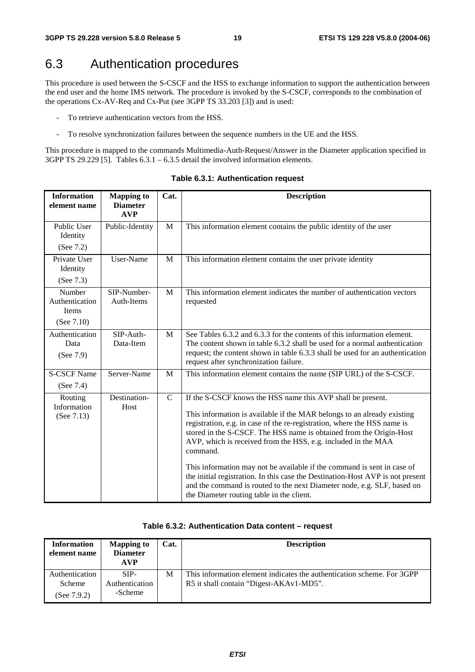## 6.3 Authentication procedures

This procedure is used between the S-CSCF and the HSS to exchange information to support the authentication between the end user and the home IMS network. The procedure is invoked by the S-CSCF, corresponds to the combination of the operations Cx-AV-Req and Cx-Put (see 3GPP TS 33.203 [3]) and is used:

- To retrieve authentication vectors from the HSS.
- To resolve synchronization failures between the sequence numbers in the UE and the HSS.

This procedure is mapped to the commands Multimedia-Auth-Request/Answer in the Diameter application specified in 3GPP TS 29.229 [5]. Tables 6.3.1 – 6.3.5 detail the involved information elements.

| <b>Information</b><br>element name                        | <b>Mapping to</b><br><b>Diameter</b><br><b>AVP</b> | Cat.        | <b>Description</b>                                                                                                                                                                                                                                                                                                                                                                                                                                                                                                                                                                                                                                          |  |
|-----------------------------------------------------------|----------------------------------------------------|-------------|-------------------------------------------------------------------------------------------------------------------------------------------------------------------------------------------------------------------------------------------------------------------------------------------------------------------------------------------------------------------------------------------------------------------------------------------------------------------------------------------------------------------------------------------------------------------------------------------------------------------------------------------------------------|--|
| Public User<br>Identity<br>(See 7.2)                      | Public-Identity                                    | M           | This information element contains the public identity of the user                                                                                                                                                                                                                                                                                                                                                                                                                                                                                                                                                                                           |  |
| Private User<br>Identity<br>(See 7.3)                     | User-Name                                          | M           | This information element contains the user private identity                                                                                                                                                                                                                                                                                                                                                                                                                                                                                                                                                                                                 |  |
| Number<br>Authentication<br><b>Items</b><br>(See $7.10$ ) | SIP-Number-<br>Auth-Items                          | M           | This information element indicates the number of authentication vectors<br>requested                                                                                                                                                                                                                                                                                                                                                                                                                                                                                                                                                                        |  |
| Authentication<br>Data<br>(See 7.9)                       | SIP-Auth-<br>Data-Item                             | M           | See Tables 6.3.2 and 6.3.3 for the contents of this information element.<br>The content shown in table 6.3.2 shall be used for a normal authentication<br>request; the content shown in table 6.3.3 shall be used for an authentication<br>request after synchronization failure.                                                                                                                                                                                                                                                                                                                                                                           |  |
| <b>S-CSCF Name</b><br>(See 7.4)                           | Server-Name                                        | M           | This information element contains the name (SIP URL) of the S-CSCF.                                                                                                                                                                                                                                                                                                                                                                                                                                                                                                                                                                                         |  |
| Routing<br>Information<br>(See 7.13)                      | Destination-<br>Host                               | $\mathbf C$ | If the S-CSCF knows the HSS name this AVP shall be present.<br>This information is available if the MAR belongs to an already existing<br>registration, e.g. in case of the re-registration, where the HSS name is<br>stored in the S-CSCF. The HSS name is obtained from the Origin-Host<br>AVP, which is received from the HSS, e.g. included in the MAA<br>command.<br>This information may not be available if the command is sent in case of<br>the initial registration. In this case the Destination-Host AVP is not present<br>and the command is routed to the next Diameter node, e.g. SLF, based on<br>the Diameter routing table in the client. |  |

#### **Table 6.3.1: Authentication request**

| Table 6.3.2: Authentication Data content - request |  |
|----------------------------------------------------|--|
|----------------------------------------------------|--|

| <b>Information</b><br>element name         | <b>Mapping to</b><br><b>Diameter</b><br><b>AVP</b> | Cat. | <b>Description</b>                                                                                                |
|--------------------------------------------|----------------------------------------------------|------|-------------------------------------------------------------------------------------------------------------------|
| Authentication<br>Scheme<br>(See $7.9.2$ ) | SIP-<br>Authentication<br>-Scheme                  | M    | This information element indicates the authentication scheme. For 3GPP<br>R5 it shall contain "Digest-AKAv1-MD5". |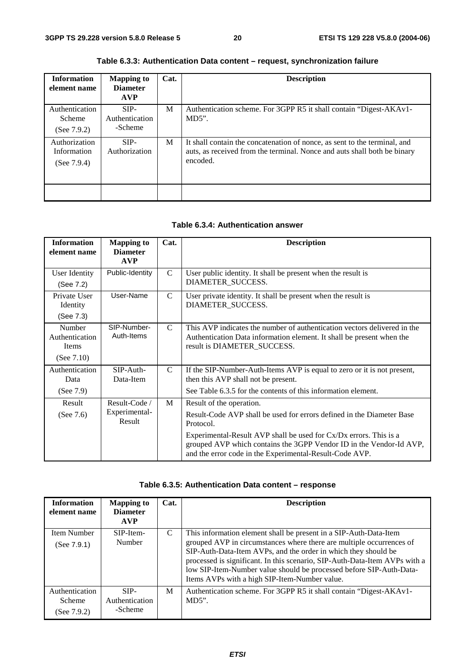| <b>Information</b><br>element name             | <b>Mapping to</b><br><b>Diameter</b><br><b>AVP</b> | Cat. | <b>Description</b>                                                                                                                                                |
|------------------------------------------------|----------------------------------------------------|------|-------------------------------------------------------------------------------------------------------------------------------------------------------------------|
| Authentication<br>Scheme<br>(See $7.9.2$ )     | $SIP-$<br>Authentication<br>-Scheme                | M    | Authentication scheme. For 3GPP R5 it shall contain "Digest-AKAv1-<br>$MD5$ ".                                                                                    |
| Authorization<br>Information<br>(See $7.9.4$ ) | $SIP-$<br>Authorization                            | M    | It shall contain the concatenation of nonce, as sent to the terminal, and<br>auts, as received from the terminal. Nonce and auts shall both be binary<br>encoded. |
|                                                |                                                    |      |                                                                                                                                                                   |

#### **Table 6.3.3: Authentication Data content – request, synchronization failure**

#### **Table 6.3.4: Authentication answer**

| <b>Information</b><br>element name                        | <b>Mapping to</b><br><b>Diameter</b><br><b>AVP</b> | Cat.          | <b>Description</b>                                                                                                                                                                                                                                                                                                    |
|-----------------------------------------------------------|----------------------------------------------------|---------------|-----------------------------------------------------------------------------------------------------------------------------------------------------------------------------------------------------------------------------------------------------------------------------------------------------------------------|
| User Identity<br>(See 7.2)                                | Public-Identity                                    | $\mathcal{C}$ | User public identity. It shall be present when the result is<br>DIAMETER SUCCESS.                                                                                                                                                                                                                                     |
| Private User<br>Identity<br>(See 7.3)                     | User-Name                                          | $\mathcal{C}$ | User private identity. It shall be present when the result is<br>DIAMETER_SUCCESS.                                                                                                                                                                                                                                    |
| Number<br>Authentication<br><b>Items</b><br>(See $7.10$ ) | SIP-Number-<br>Auth-Items                          | $\mathcal{C}$ | This AVP indicates the number of authentication vectors delivered in the<br>Authentication Data information element. It shall be present when the<br>result is DIAMETER_SUCCESS.                                                                                                                                      |
| Authentication<br>Data<br>(See $7.9$ )                    | $SIP-A$ uth-<br>Data-Item                          | $\mathcal{C}$ | If the SIP-Number-Auth-Items AVP is equal to zero or it is not present,<br>then this AVP shall not be present.<br>See Table 6.3.5 for the contents of this information element.                                                                                                                                       |
| Result<br>(See $7.6$ )                                    | Result-Code /<br>Experimental-<br>Result           | M             | Result of the operation.<br>Result-Code AVP shall be used for errors defined in the Diameter Base<br>Protocol.<br>Experimental-Result AVP shall be used for Cx/Dx errors. This is a<br>grouped AVP which contains the 3GPP Vendor ID in the Vendor-Id AVP,<br>and the error code in the Experimental-Result-Code AVP. |

#### **Table 6.3.5: Authentication Data content – response**

| <b>Information</b><br>element name         | <b>Mapping to</b><br><b>Diameter</b><br><b>AVP</b> | Cat. | <b>Description</b>                                                                                                                                                                                                                                                                                                                                                                                                |
|--------------------------------------------|----------------------------------------------------|------|-------------------------------------------------------------------------------------------------------------------------------------------------------------------------------------------------------------------------------------------------------------------------------------------------------------------------------------------------------------------------------------------------------------------|
| Item Number<br>(See 7.9.1)                 | SIP-Item-<br>Number                                | C    | This information element shall be present in a SIP-Auth-Data-Item<br>grouped AVP in circumstances where there are multiple occurrences of<br>SIP-Auth-Data-Item AVPs, and the order in which they should be<br>processed is significant. In this scenario, SIP-Auth-Data-Item AVPs with a<br>low SIP-Item-Number value should be processed before SIP-Auth-Data-<br>Items AVPs with a high SIP-Item-Number value. |
| Authentication<br>Scheme<br>(See $7.9.2$ ) | SIP-<br>Authentication<br>-Scheme                  | M    | Authentication scheme. For 3GPP R5 it shall contain "Digest-AKAv1-<br>$MD5$ ".                                                                                                                                                                                                                                                                                                                                    |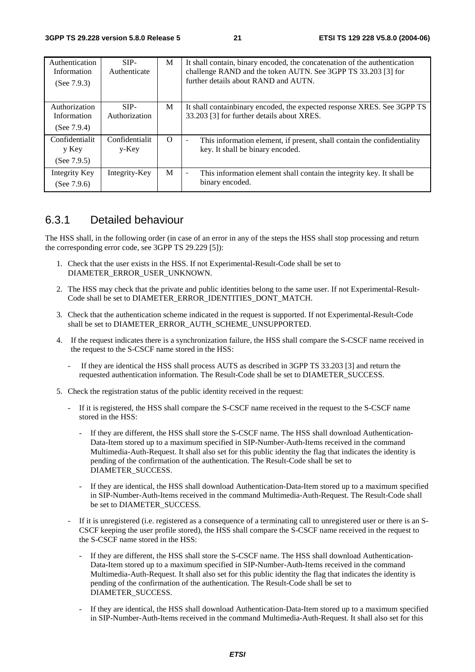| Authentication<br>Information<br>(See $7.9.3$ ) | $SIP-$<br>Authenticate     | M        | It shall contain, binary encoded, the concatenation of the authentication<br>challenge RAND and the token AUTN. See 3GPP TS 33.203 [3] for<br>further details about RAND and AUTN. |
|-------------------------------------------------|----------------------------|----------|------------------------------------------------------------------------------------------------------------------------------------------------------------------------------------|
| Authorization<br>Information<br>(See $7.9.4$ )  | $SIP-$<br>Authorization    | M        | It shall contain binary encoded, the expected response XRES. See 3GPP TS<br>33.203 [3] for further details about XRES.                                                             |
| Confidentialit<br>y Key<br>(See $7.9.5$ )       | Confidentialit<br>$y$ -Key | $\Omega$ | This information element, if present, shall contain the confidentiality<br>$\blacksquare$<br>key. It shall be binary encoded.                                                      |
| Integrity Key<br>(See $7.9.6$ )                 | Integrity-Key              | M        | This information element shall contain the integrity key. It shall be<br>$\blacksquare$<br>binary encoded.                                                                         |
|                                                 |                            |          |                                                                                                                                                                                    |

#### 6.3.1 Detailed behaviour

The HSS shall, in the following order (in case of an error in any of the steps the HSS shall stop processing and return the corresponding error code, see 3GPP TS 29.229 [5]):

- 1. Check that the user exists in the HSS. If not Experimental-Result-Code shall be set to DIAMETER\_ERROR\_USER\_UNKNOWN.
- 2. The HSS may check that the private and public identities belong to the same user. If not Experimental-Result-Code shall be set to DIAMETER\_ERROR\_IDENTITIES\_DONT\_MATCH.
- 3. Check that the authentication scheme indicated in the request is supported. If not Experimental-Result-Code shall be set to DIAMETER\_ERROR\_AUTH\_SCHEME\_UNSUPPORTED.
- 4. If the request indicates there is a synchronization failure, the HSS shall compare the S-CSCF name received in the request to the S-CSCF name stored in the HSS:
	- If they are identical the HSS shall process AUTS as described in 3GPP TS 33.203 [3] and return the requested authentication information. The Result-Code shall be set to DIAMETER\_SUCCESS.
- 5. Check the registration status of the public identity received in the request:
	- If it is registered, the HSS shall compare the S-CSCF name received in the request to the S-CSCF name stored in the HSS:
		- If they are different, the HSS shall store the S-CSCF name. The HSS shall download Authentication-Data-Item stored up to a maximum specified in SIP-Number-Auth-Items received in the command Multimedia-Auth-Request. It shall also set for this public identity the flag that indicates the identity is pending of the confirmation of the authentication. The Result-Code shall be set to DIAMETER\_SUCCESS.
		- If they are identical, the HSS shall download Authentication-Data-Item stored up to a maximum specified in SIP-Number-Auth-Items received in the command Multimedia-Auth-Request. The Result-Code shall be set to DIAMETER\_SUCCESS.
	- If it is unregistered (i.e. registered as a consequence of a terminating call to unregistered user or there is an S-CSCF keeping the user profile stored), the HSS shall compare the S-CSCF name received in the request to the S-CSCF name stored in the HSS:
		- If they are different, the HSS shall store the S-CSCF name. The HSS shall download Authentication-Data-Item stored up to a maximum specified in SIP-Number-Auth-Items received in the command Multimedia-Auth-Request. It shall also set for this public identity the flag that indicates the identity is pending of the confirmation of the authentication. The Result-Code shall be set to DIAMETER\_SUCCESS.
		- If they are identical, the HSS shall download Authentication-Data-Item stored up to a maximum specified in SIP-Number-Auth-Items received in the command Multimedia-Auth-Request. It shall also set for this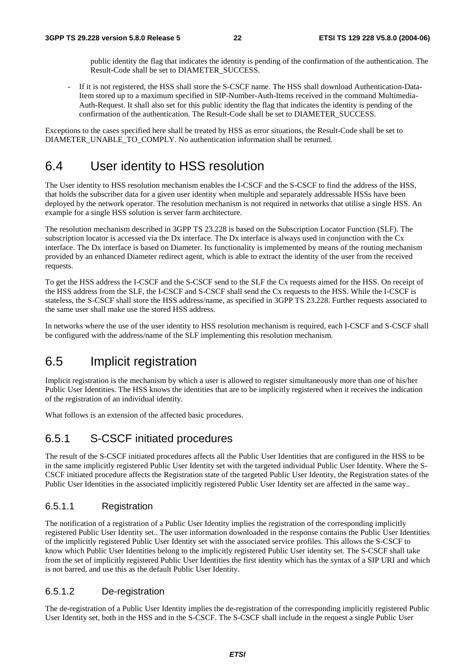public identity the flag that indicates the identity is pending of the confirmation of the authentication. The Result-Code shall be set to DIAMETER\_SUCCESS.

If it is not registered, the HSS shall store the S-CSCF name. The HSS shall download Authentication-Data-Item stored up to a maximum specified in SIP-Number-Auth-Items received in the command Multimedia-Auth-Request. It shall also set for this public identity the flag that indicates the identity is pending of the confirmation of the authentication. The Result-Code shall be set to DIAMETER\_SUCCESS.

Exceptions to the cases specified here shall be treated by HSS as error situations, the Result-Code shall be set to DIAMETER\_UNABLE\_TO\_COMPLY. No authentication information shall be returned.

### 6.4 User identity to HSS resolution

The User identity to HSS resolution mechanism enables the I-CSCF and the S-CSCF to find the address of the HSS, that holds the subscriber data for a given user identity when multiple and separately addressable HSSs have been deployed by the network operator. The resolution mechanism is not required in networks that utilise a single HSS. An example for a single HSS solution is server farm architecture.

The resolution mechanism described in 3GPP TS 23.228 is based on the Subscription Locator Function (SLF). The subscription locator is accessed via the Dx interface. The Dx interface is always used in conjunction with the Cx interface. The Dx interface is based on Diameter. Its functionality is implemented by means of the routing mechanism provided by an enhanced Diameter redirect agent, which is able to extract the identity of the user from the received requests.

To get the HSS address the I-CSCF and the S-CSCF send to the SLF the Cx requests aimed for the HSS. On receipt of the HSS address from the SLF, the I-CSCF and S-CSCF shall send the Cx requests to the HSS. While the I-CSCF is stateless, the S-CSCF shall store the HSS address/name, as specified in 3GPP TS 23.228. Further requests associated to the same user shall make use the stored HSS address.

In networks where the use of the user identity to HSS resolution mechanism is required, each I-CSCF and S-CSCF shall be configured with the address/name of the SLF implementing this resolution mechanism.

## 6.5 Implicit registration

Implicit registration is the mechanism by which a user is allowed to register simultaneously more than one of his/her Public User Identities. The HSS knows the identities that are to be implicitly registered when it receives the indication of the registration of an individual identity.

What follows is an extension of the affected basic procedures.

#### 6.5.1 S-CSCF initiated procedures

The result of the S-CSCF initiated procedures affects all the Public User Identities that are configured in the HSS to be in the same implicitly registered Public User Identity set with the targeted individual Public User Identity. Where the S-CSCF initiated procedure affects the Registration state of the targeted Public User Identity, the Registration states of the Public User Identities in the associated implicitly registered Public User Identity set are affected in the same way..

#### 6.5.1.1 Registration

The notification of a registration of a Public User Identity implies the registration of the corresponding implicitly registered Public User Identity set.. The user information downloaded in the response contains the Public User Identities of the implicitly registered Public User Identity set with the associated service profiles. This allows the S-CSCF to know which Public User Identities belong to the implicitly registered Public User identity set. The S-CSCF shall take from the set of implicitly registered Public User Identities the first identity which has the syntax of a SIP URI and which is not barred, and use this as the default Public User Identity.

#### 6.5.1.2 De-registration

The de-registration of a Public User Identity implies the de-registration of the corresponding implicitly registered Public User Identity set, both in the HSS and in the S-CSCF. The S-CSCF shall include in the request a single Public User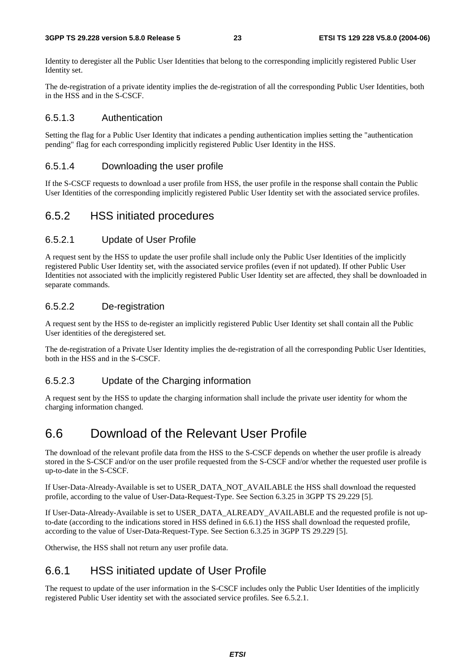Identity to deregister all the Public User Identities that belong to the corresponding implicitly registered Public User Identity set.

The de-registration of a private identity implies the de-registration of all the corresponding Public User Identities, both in the HSS and in the S-CSCF.

#### 6.5.1.3 Authentication

Setting the flag for a Public User Identity that indicates a pending authentication implies setting the "authentication pending" flag for each corresponding implicitly registered Public User Identity in the HSS.

#### 6.5.1.4 Downloading the user profile

If the S-CSCF requests to download a user profile from HSS, the user profile in the response shall contain the Public User Identities of the corresponding implicitly registered Public User Identity set with the associated service profiles.

#### 6.5.2 HSS initiated procedures

#### 6.5.2.1 Update of User Profile

A request sent by the HSS to update the user profile shall include only the Public User Identities of the implicitly registered Public User Identity set, with the associated service profiles (even if not updated). If other Public User Identities not associated with the implicitly registered Public User Identity set are affected, they shall be downloaded in separate commands.

#### 6.5.2.2 De-registration

A request sent by the HSS to de-register an implicitly registered Public User Identity set shall contain all the Public User identities of the deregistered set.

The de-registration of a Private User Identity implies the de-registration of all the corresponding Public User Identities, both in the HSS and in the S-CSCF.

#### 6.5.2.3 Update of the Charging information

A request sent by the HSS to update the charging information shall include the private user identity for whom the charging information changed.

## 6.6 Download of the Relevant User Profile

The download of the relevant profile data from the HSS to the S-CSCF depends on whether the user profile is already stored in the S-CSCF and/or on the user profile requested from the S-CSCF and/or whether the requested user profile is up-to-date in the S-CSCF.

If User-Data-Already-Available is set to USER\_DATA\_NOT\_AVAILABLE the HSS shall download the requested profile, according to the value of User-Data-Request-Type. See Section 6.3.25 in 3GPP TS 29.229 [5].

If User-Data-Already-Available is set to USER\_DATA\_ALREADY\_AVAILABLE and the requested profile is not upto-date (according to the indications stored in HSS defined in 6.6.1) the HSS shall download the requested profile, according to the value of User-Data-Request-Type. See Section 6.3.25 in 3GPP TS 29.229 [5].

Otherwise, the HSS shall not return any user profile data.

#### 6.6.1 HSS initiated update of User Profile

The request to update of the user information in the S-CSCF includes only the Public User Identities of the implicitly registered Public User identity set with the associated service profiles. See 6.5.2.1.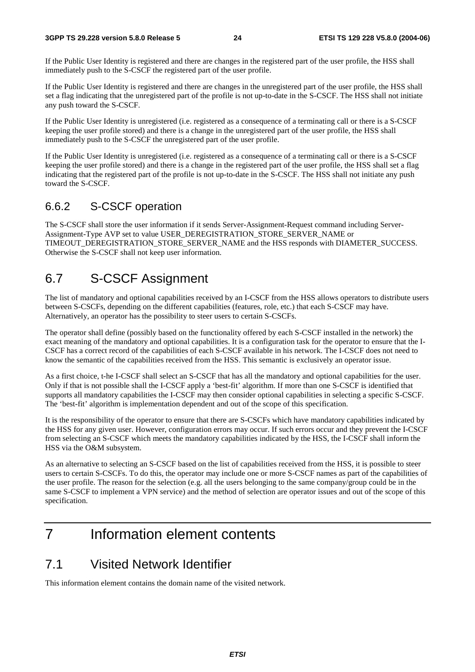If the Public User Identity is registered and there are changes in the registered part of the user profile, the HSS shall immediately push to the S-CSCF the registered part of the user profile.

If the Public User Identity is registered and there are changes in the unregistered part of the user profile, the HSS shall set a flag indicating that the unregistered part of the profile is not up-to-date in the S-CSCF. The HSS shall not initiate any push toward the S-CSCF.

If the Public User Identity is unregistered (i.e. registered as a consequence of a terminating call or there is a S-CSCF keeping the user profile stored) and there is a change in the unregistered part of the user profile, the HSS shall immediately push to the S-CSCF the unregistered part of the user profile.

If the Public User Identity is unregistered (i.e. registered as a consequence of a terminating call or there is a S-CSCF keeping the user profile stored) and there is a change in the registered part of the user profile, the HSS shall set a flag indicating that the registered part of the profile is not up-to-date in the S-CSCF. The HSS shall not initiate any push toward the S-CSCF.

#### 6.6.2 S-CSCF operation

The S-CSCF shall store the user information if it sends Server-Assignment-Request command including Server-Assignment-Type AVP set to value USER\_DEREGISTRATION\_STORE\_SERVER\_NAME or TIMEOUT\_DEREGISTRATION\_STORE\_SERVER\_NAME and the HSS responds with DIAMETER\_SUCCESS. Otherwise the S-CSCF shall not keep user information.

## 6.7 S-CSCF Assignment

The list of mandatory and optional capabilities received by an I-CSCF from the HSS allows operators to distribute users between S-CSCFs, depending on the different capabilities (features, role, etc.) that each S-CSCF may have. Alternatively, an operator has the possibility to steer users to certain S-CSCFs.

The operator shall define (possibly based on the functionality offered by each S-CSCF installed in the network) the exact meaning of the mandatory and optional capabilities. It is a configuration task for the operator to ensure that the I-CSCF has a correct record of the capabilities of each S-CSCF available in his network. The I-CSCF does not need to know the semantic of the capabilities received from the HSS. This semantic is exclusively an operator issue.

As a first choice, t-he I-CSCF shall select an S-CSCF that has all the mandatory and optional capabilities for the user. Only if that is not possible shall the I-CSCF apply a 'best-fit' algorithm. If more than one S-CSCF is identified that supports all mandatory capabilities the I-CSCF may then consider optional capabilities in selecting a specific S-CSCF. The 'best-fit' algorithm is implementation dependent and out of the scope of this specification.

It is the responsibility of the operator to ensure that there are S-CSCFs which have mandatory capabilities indicated by the HSS for any given user. However, configuration errors may occur. If such errors occur and they prevent the I-CSCF from selecting an S-CSCF which meets the mandatory capabilities indicated by the HSS, the I-CSCF shall inform the HSS via the O&M subsystem.

As an alternative to selecting an S-CSCF based on the list of capabilities received from the HSS, it is possible to steer users to certain S-CSCFs. To do this, the operator may include one or more S-CSCF names as part of the capabilities of the user profile. The reason for the selection (e.g. all the users belonging to the same company/group could be in the same S-CSCF to implement a VPN service) and the method of selection are operator issues and out of the scope of this specification.

## 7 Information element contents

## 7.1 Visited Network Identifier

This information element contains the domain name of the visited network.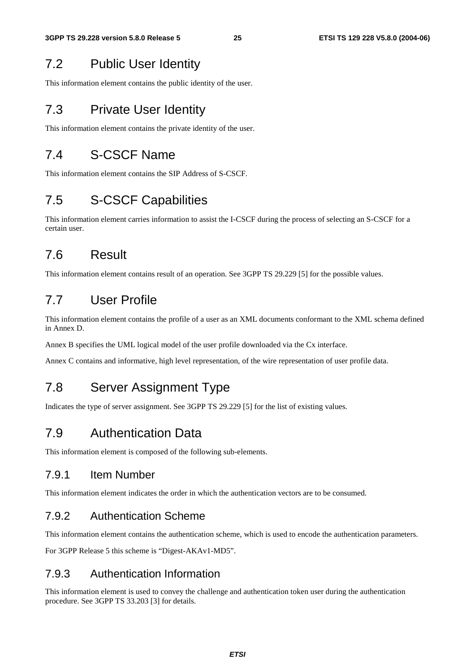## 7.2 Public User Identity

This information element contains the public identity of the user.

### 7.3 Private User Identity

This information element contains the private identity of the user.

## 7.4 S-CSCF Name

This information element contains the SIP Address of S-CSCF.

## 7.5 S-CSCF Capabilities

This information element carries information to assist the I-CSCF during the process of selecting an S-CSCF for a certain user.

## 7.6 Result

This information element contains result of an operation. See 3GPP TS 29.229 [5] for the possible values.

## 7.7 User Profile

This information element contains the profile of a user as an XML documents conformant to the XML schema defined in Annex D.

Annex B specifies the UML logical model of the user profile downloaded via the Cx interface.

Annex C contains and informative, high level representation, of the wire representation of user profile data.

## 7.8 Server Assignment Type

Indicates the type of server assignment. See 3GPP TS 29.229 [5] for the list of existing values.

#### 7.9 Authentication Data

This information element is composed of the following sub-elements.

#### 7.9.1 Item Number

This information element indicates the order in which the authentication vectors are to be consumed.

#### 7.9.2 Authentication Scheme

This information element contains the authentication scheme, which is used to encode the authentication parameters.

For 3GPP Release 5 this scheme is "Digest-AKAv1-MD5".

#### 7.9.3 Authentication Information

This information element is used to convey the challenge and authentication token user during the authentication procedure. See 3GPP TS 33.203 [3] for details.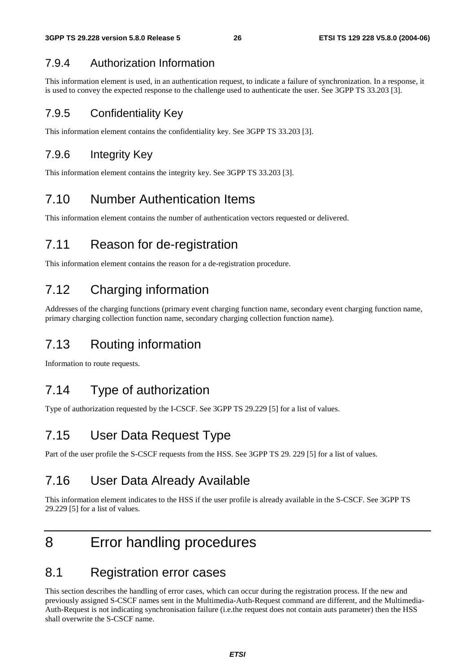#### 7.9.4 Authorization Information

This information element is used, in an authentication request, to indicate a failure of synchronization. In a response, it is used to convey the expected response to the challenge used to authenticate the user. See 3GPP TS 33.203 [3].

#### 7.9.5 Confidentiality Key

This information element contains the confidentiality key. See 3GPP TS 33.203 [3].

#### 7.9.6 Integrity Key

This information element contains the integrity key. See 3GPP TS 33.203 [3].

## 7.10 Number Authentication Items

This information element contains the number of authentication vectors requested or delivered.

## 7.11 Reason for de-registration

This information element contains the reason for a de-registration procedure.

## 7.12 Charging information

Addresses of the charging functions (primary event charging function name, secondary event charging function name, primary charging collection function name, secondary charging collection function name).

## 7.13 Routing information

Information to route requests.

## 7.14 Type of authorization

Type of authorization requested by the I-CSCF. See 3GPP TS 29.229 [5] for a list of values.

## 7.15 User Data Request Type

Part of the user profile the S-CSCF requests from the HSS. See 3GPP TS 29. 229 [5] for a list of values.

## 7.16 User Data Already Available

This information element indicates to the HSS if the user profile is already available in the S-CSCF. See 3GPP TS 29.229 [5] for a list of values.

## 8 Error handling procedures

#### 8.1 Registration error cases

This section describes the handling of error cases, which can occur during the registration process. If the new and previously assigned S-CSCF names sent in the Multimedia-Auth-Request command are different, and the Multimedia-Auth-Request is not indicating synchronisation failure (i.e.the request does not contain auts parameter) then the HSS shall overwrite the S-CSCF name.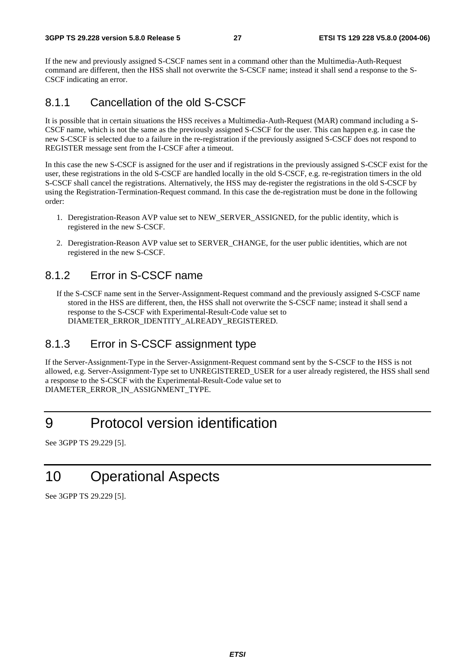If the new and previously assigned S-CSCF names sent in a command other than the Multimedia-Auth-Request command are different, then the HSS shall not overwrite the S-CSCF name; instead it shall send a response to the S-CSCF indicating an error.

#### 8.1.1 Cancellation of the old S-CSCF

It is possible that in certain situations the HSS receives a Multimedia-Auth-Request (MAR) command including a S-CSCF name, which is not the same as the previously assigned S-CSCF for the user. This can happen e.g. in case the new S-CSCF is selected due to a failure in the re-registration if the previously assigned S-CSCF does not respond to REGISTER message sent from the I-CSCF after a timeout.

In this case the new S-CSCF is assigned for the user and if registrations in the previously assigned S-CSCF exist for the user, these registrations in the old S-CSCF are handled locally in the old S-CSCF, e.g. re-registration timers in the old S-CSCF shall cancel the registrations. Alternatively, the HSS may de-register the registrations in the old S-CSCF by using the Registration-Termination-Request command. In this case the de-registration must be done in the following order:

- 1. Deregistration-Reason AVP value set to NEW\_SERVER\_ASSIGNED, for the public identity, which is registered in the new S-CSCF.
- 2. Deregistration-Reason AVP value set to SERVER\_CHANGE, for the user public identities, which are not registered in the new S-CSCF.

#### 8.1.2 Error in S-CSCF name

If the S-CSCF name sent in the Server-Assignment-Request command and the previously assigned S-CSCF name stored in the HSS are different, then, the HSS shall not overwrite the S-CSCF name; instead it shall send a response to the S-CSCF with Experimental-Result-Code value set to DIAMETER\_ERROR\_IDENTITY\_ALREADY\_REGISTERED.

#### 8.1.3 Error in S-CSCF assignment type

If the Server-Assignment-Type in the Server-Assignment-Request command sent by the S-CSCF to the HSS is not allowed, e.g. Server-Assignment-Type set to UNREGISTERED\_USER for a user already registered, the HSS shall send a response to the S-CSCF with the Experimental-Result-Code value set to DIAMETER\_ERROR\_IN\_ASSIGNMENT\_TYPE.

## 9 Protocol version identification

See 3GPP TS 29.229 [5].

## 10 Operational Aspects

See 3GPP TS 29.229 [5].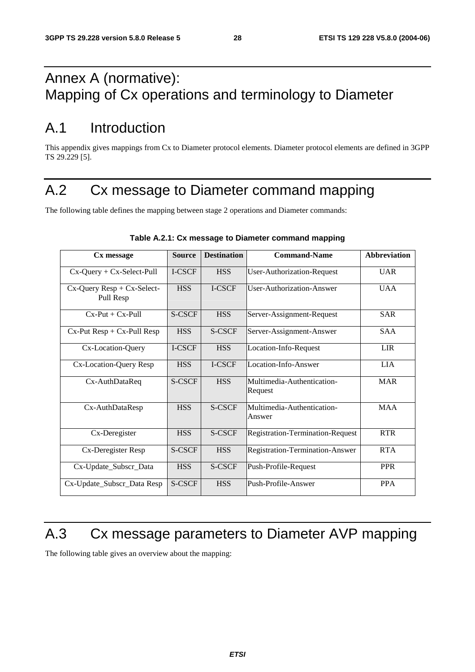## Annex A (normative): Mapping of Cx operations and terminology to Diameter

## A.1 Introduction

This appendix gives mappings from Cx to Diameter protocol elements. Diameter protocol elements are defined in 3GPP TS 29.229 [5].

## A.2 Cx message to Diameter command mapping

The following table defines the mapping between stage 2 operations and Diameter commands:

| Cx message                                    | <b>Source</b> | <b>Destination</b> | <b>Command-Name</b>                   | <b>Abbreviation</b> |
|-----------------------------------------------|---------------|--------------------|---------------------------------------|---------------------|
| $Cx$ -Query + $Cx$ -Select-Pull               | I-CSCF        | <b>HSS</b>         | <b>User-Authorization-Request</b>     | <b>UAR</b>          |
| $Cx$ -Query Resp + $Cx$ -Select-<br>Pull Resp | <b>HSS</b>    | I-CSCF             | User-Authorization-Answer             | <b>UAA</b>          |
| $Cx-Put + Cx-Pull$                            | S-CSCF        | <b>HSS</b>         | Server-Assignment-Request             | <b>SAR</b>          |
| $Cx-Put Resp + Cx-Pull Resp$                  | <b>HSS</b>    | S-CSCF             | Server-Assignment-Answer              | <b>SAA</b>          |
| Cx-Location-Query                             | I-CSCF        | <b>HSS</b>         | Location-Info-Request                 | <b>LIR</b>          |
| Cx-Location-Query Resp                        | <b>HSS</b>    | I-CSCF             | Location-Info-Answer                  | <b>LIA</b>          |
| Cx-AuthDataReq                                | S-CSCF        | <b>HSS</b>         | Multimedia-Authentication-<br>Request | <b>MAR</b>          |
| Cx-AuthDataResp                               | <b>HSS</b>    | <b>S-CSCF</b>      | Multimedia-Authentication-<br>Answer  | <b>MAA</b>          |
| Cx-Deregister                                 | <b>HSS</b>    | S-CSCF             | Registration-Termination-Request      | <b>RTR</b>          |
| Cx-Deregister Resp                            | S-CSCF        | <b>HSS</b>         | Registration-Termination-Answer       | <b>RTA</b>          |
| Cx-Update_Subscr_Data                         | <b>HSS</b>    | S-CSCF             | Push-Profile-Request                  | <b>PPR</b>          |
| Cx-Update_Subscr_Data Resp                    | S-CSCF        | <b>HSS</b>         | Push-Profile-Answer                   | <b>PPA</b>          |

#### **Table A.2.1: Cx message to Diameter command mapping**

## A.3 Cx message parameters to Diameter AVP mapping

The following table gives an overview about the mapping: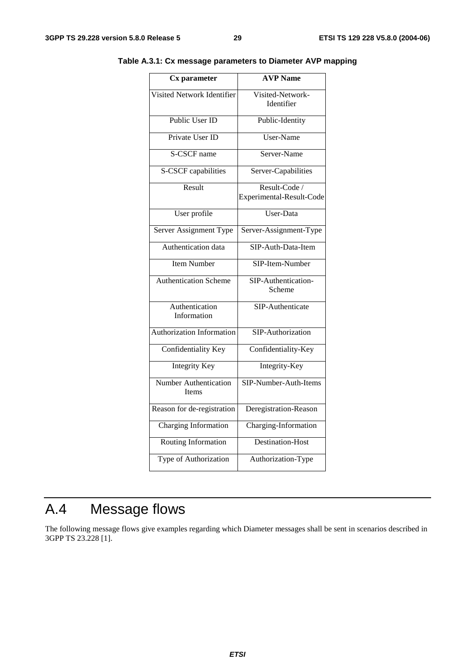| $\overline{\mathbf{C}}$ x parameter          | <b>AVP</b> Name                           |
|----------------------------------------------|-------------------------------------------|
| Visited Network Identifier                   | Visited-Network-<br>Identifier            |
| Public User ID                               | Public-Identity                           |
| Private User ID                              | User-Name                                 |
| S-CSCF name                                  | Server-Name                               |
| S-CSCF capabilities                          | Server-Capabilities                       |
| Result                                       | Result-Code /<br>Experimental-Result-Code |
| User profile                                 | User-Data                                 |
| Server Assignment Type                       | Server-Assignment-Type                    |
| Authentication data                          | SIP-Auth-Data-Item                        |
| <b>Item Number</b>                           | SIP-Item-Number                           |
| <b>Authentication Scheme</b>                 | SIP-Authentication-<br>Scheme             |
| Authentication<br>Information                | SIP-Authenticate                          |
| <b>Authorization Information</b>             | SIP-Authorization                         |
| Confidentiality Key                          | Confidentiality-Key                       |
| <b>Integrity Key</b>                         | Integrity-Key                             |
| <b>Number Authentication</b><br><b>Items</b> | SIP-Number-Auth-Items                     |
| Reason for de-registration                   | Deregistration-Reason                     |
| <b>Charging Information</b>                  | Charging-Information                      |
| Routing Information                          | Destination-Host                          |
| Type of Authorization                        | Authorization-Type                        |
|                                              |                                           |

**Table A.3.1: Cx message parameters to Diameter AVP mapping** 

## A.4 Message flows

The following message flows give examples regarding which Diameter messages shall be sent in scenarios described in 3GPP TS 23.228 [1].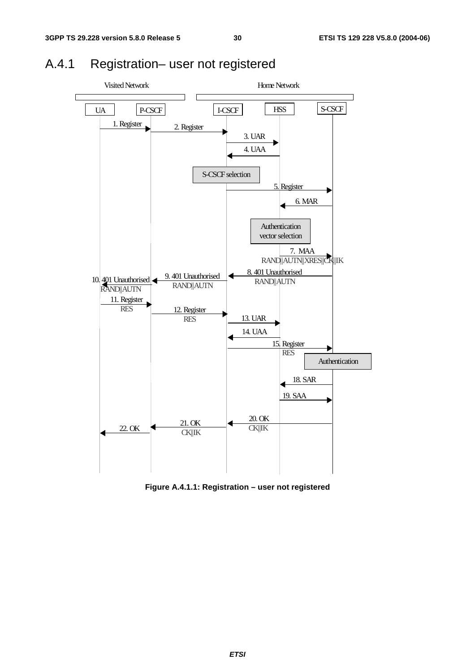

## A.4.1 Registration– user not registered

**Figure A.4.1.1: Registration – user not registered**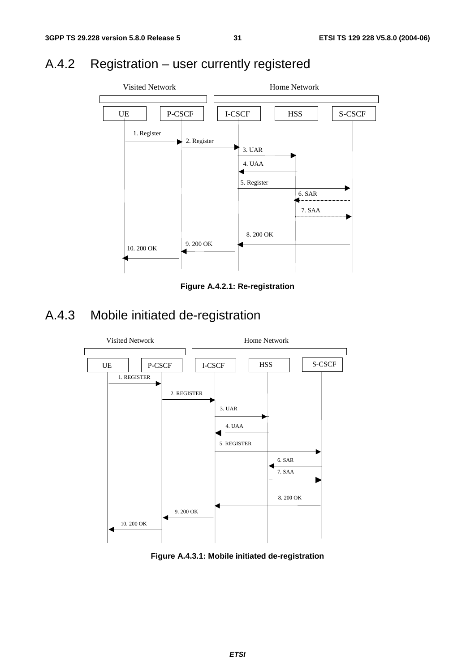## A.4.2 Registration – user currently registered



**Figure A.4.2.1: Re-registration** 

## A.4.3 Mobile initiated de-registration



**Figure A.4.3.1: Mobile initiated de-registration**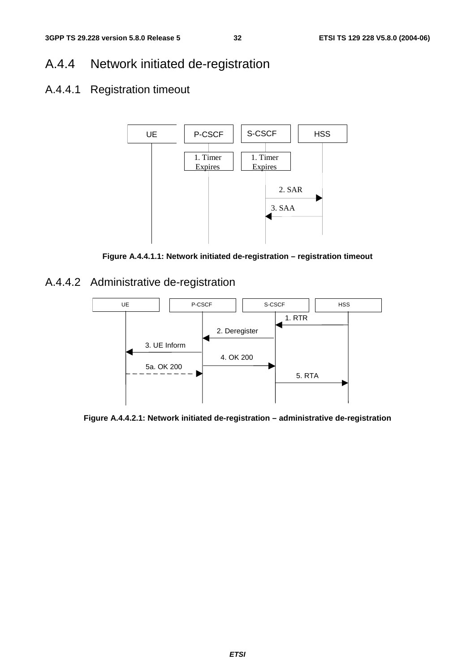## A.4.4 Network initiated de-registration

## A.4.4.1 Registration timeout



**Figure A.4.4.1.1: Network initiated de-registration – registration timeout** 

A.4.4.2 Administrative de-registration



**Figure A.4.4.2.1: Network initiated de-registration – administrative de-registration**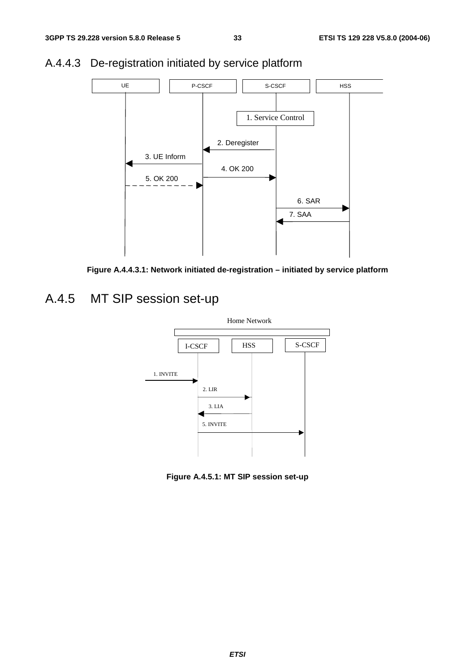

## A.4.4.3 De-registration initiated by service platform



## A.4.5 MT SIP session set-up



**Figure A.4.5.1: MT SIP session set-up**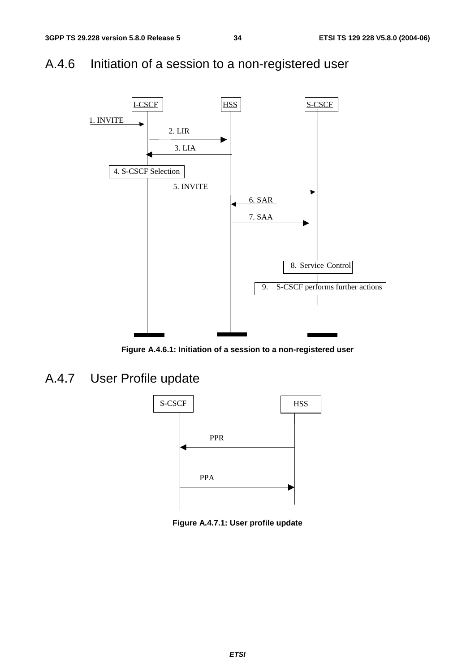## A.4.6 Initiation of a session to a non-registered user



**Figure A.4.6.1: Initiation of a session to a non-registered user** 

A.4.7 User Profile update



**Figure A.4.7.1: User profile update**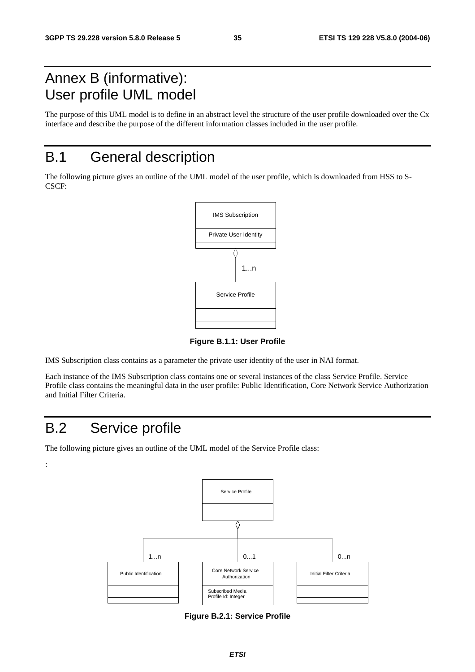## Annex B (informative): User profile UML model

The purpose of this UML model is to define in an abstract level the structure of the user profile downloaded over the Cx interface and describe the purpose of the different information classes included in the user profile.

## B.1 General description

The following picture gives an outline of the UML model of the user profile, which is downloaded from HSS to S-CSCF:



**Figure B.1.1: User Profile** 

IMS Subscription class contains as a parameter the private user identity of the user in NAI format.

Each instance of the IMS Subscription class contains one or several instances of the class Service Profile. Service Profile class contains the meaningful data in the user profile: Public Identification, Core Network Service Authorization and Initial Filter Criteria.

## B.2 Service profile

:

The following picture gives an outline of the UML model of the Service Profile class:



**Figure B.2.1: Service Profile**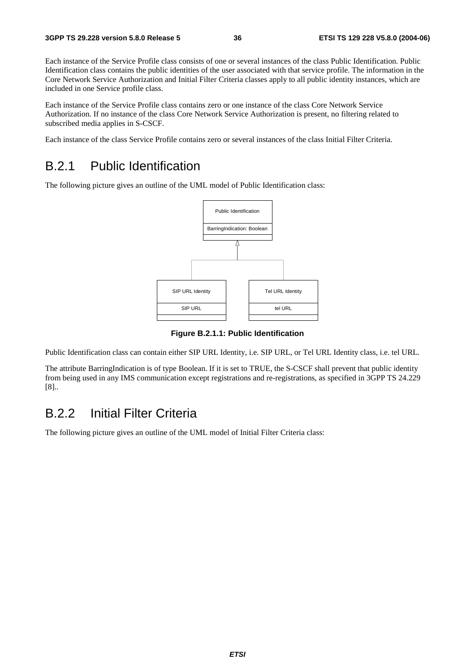Each instance of the Service Profile class consists of one or several instances of the class Public Identification. Public Identification class contains the public identities of the user associated with that service profile. The information in the Core Network Service Authorization and Initial Filter Criteria classes apply to all public identity instances, which are included in one Service profile class.

Each instance of the Service Profile class contains zero or one instance of the class Core Network Service Authorization. If no instance of the class Core Network Service Authorization is present, no filtering related to subscribed media applies in S-CSCF.

Each instance of the class Service Profile contains zero or several instances of the class Initial Filter Criteria.

## B.2.1 Public Identification

The following picture gives an outline of the UML model of Public Identification class:



**Figure B.2.1.1: Public Identification** 

Public Identification class can contain either SIP URL Identity, i.e. SIP URL, or Tel URL Identity class, i.e. tel URL.

The attribute BarringIndication is of type Boolean. If it is set to TRUE, the S-CSCF shall prevent that public identity from being used in any IMS communication except registrations and re-registrations, as specified in 3GPP TS 24.229 [8]..

## B.2.2 Initial Filter Criteria

The following picture gives an outline of the UML model of Initial Filter Criteria class: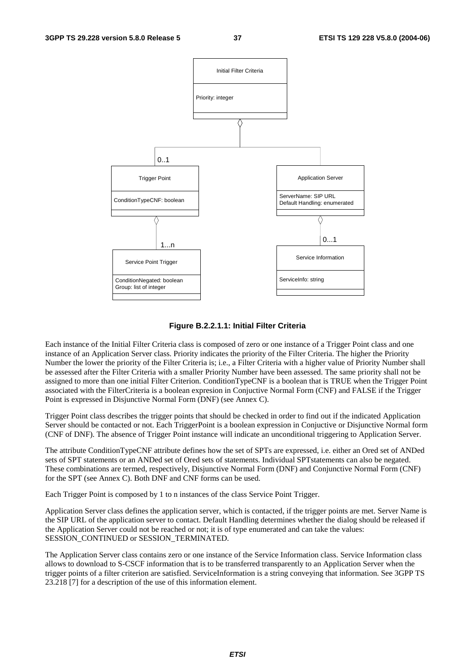

#### **Figure B.2.2.1.1: Initial Filter Criteria**

Each instance of the Initial Filter Criteria class is composed of zero or one instance of a Trigger Point class and one instance of an Application Server class. Priority indicates the priority of the Filter Criteria. The higher the Priority Number the lower the priority of the Filter Criteria is; i.e., a Filter Criteria with a higher value of Priority Number shall be assessed after the Filter Criteria with a smaller Priority Number have been assessed. The same priority shall not be assigned to more than one initial Filter Criterion. ConditionTypeCNF is a boolean that is TRUE when the Trigger Point associated with the FilterCriteria is a boolean expresion in Conjuctive Normal Form (CNF) and FALSE if the Trigger Point is expressed in Disjunctive Normal Form (DNF) (see Annex C).

Trigger Point class describes the trigger points that should be checked in order to find out if the indicated Application Server should be contacted or not. Each TriggerPoint is a boolean expression in Conjuctive or Disjunctive Normal form (CNF of DNF). The absence of Trigger Point instance will indicate an unconditional triggering to Application Server.

The attribute ConditionTypeCNF attribute defines how the set of SPTs are expressed, i.e. either an Ored set of ANDed sets of SPT statements or an ANDed set of Ored sets of statements. Individual SPTstatements can also be negated. These combinations are termed, respectively, Disjunctive Normal Form (DNF) and Conjunctive Normal Form (CNF) for the SPT (see Annex C). Both DNF and CNF forms can be used.

Each Trigger Point is composed by 1 to n instances of the class Service Point Trigger.

Application Server class defines the application server, which is contacted, if the trigger points are met. Server Name is the SIP URL of the application server to contact. Default Handling determines whether the dialog should be released if the Application Server could not be reached or not; it is of type enumerated and can take the values: SESSION\_CONTINUED or SESSION\_TERMINATED.

The Application Server class contains zero or one instance of the Service Information class. Service Information class allows to download to S-CSCF information that is to be transferred transparently to an Application Server when the trigger points of a filter criterion are satisfied. ServiceInformation is a string conveying that information. See 3GPP TS 23.218 [7] for a description of the use of this information element.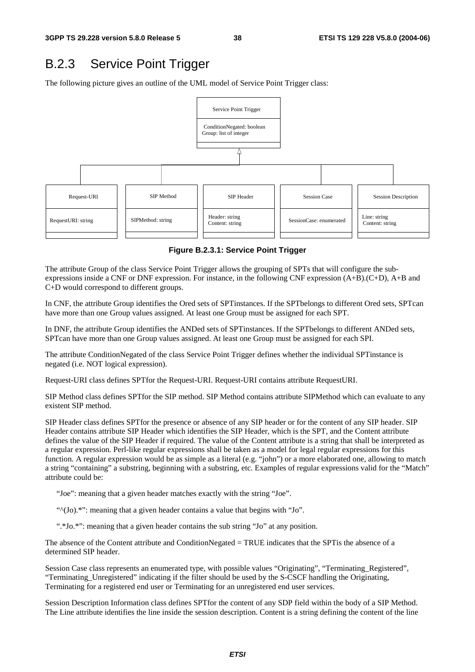#### B.2.3 Service Point Trigger

The following picture gives an outline of the UML model of Service Point Trigger class:



**Figure B.2.3.1: Service Point Trigger** 

The attribute Group of the class Service Point Trigger allows the grouping of SPTs that will configure the subexpressions inside a CNF or DNF expression. For instance, in the following CNF expression (A+B).(C+D), A+B and C+D would correspond to different groups.

In CNF, the attribute Group identifies the Ored sets of SPTinstances. If the SPTbelongs to different Ored sets, SPTcan have more than one Group values assigned. At least one Group must be assigned for each SPT.

In DNF, the attribute Group identifies the ANDed sets of SPTinstances. If the SPTbelongs to different ANDed sets, SPTcan have more than one Group values assigned. At least one Group must be assigned for each SPI.

The attribute ConditionNegated of the class Service Point Trigger defines whether the individual SPTinstance is negated (i.e. NOT logical expression).

Request-URI class defines SPTfor the Request-URI. Request-URI contains attribute RequestURI.

SIP Method class defines SPTfor the SIP method. SIP Method contains attribute SIPMethod which can evaluate to any existent SIP method.

SIP Header class defines SPTfor the presence or absence of any SIP header or for the content of any SIP header. SIP Header contains attribute SIP Header which identifies the SIP Header, which is the SPT, and the Content attribute defines the value of the SIP Header if required. The value of the Content attribute is a string that shall be interpreted as a regular expression. Perl-like regular expressions shall be taken as a model for legal regular expressions for this function. A regular expression would be as simple as a literal (e.g. "john") or a more elaborated one, allowing to match a string "containing" a substring, beginning with a substring, etc. Examples of regular expressions valid for the "Match" attribute could be:

"Joe": meaning that a given header matches exactly with the string "Joe".

"<sup>^</sup>(Jo).\*": meaning that a given header contains a value that begins with "Jo".

".\*Jo.\*": meaning that a given header contains the sub string "Jo" at any position.

The absence of the Content attribute and ConditionNegated = TRUE indicates that the SPTis the absence of a determined SIP header.

Session Case class represents an enumerated type, with possible values "Originating", "Terminating\_Registered", "Terminating\_Unregistered" indicating if the filter should be used by the S-CSCF handling the Originating, Terminating for a registered end user or Terminating for an unregistered end user services.

Session Description Information class defines SPTfor the content of any SDP field within the body of a SIP Method. The Line attribute identifies the line inside the session description. Content is a string defining the content of the line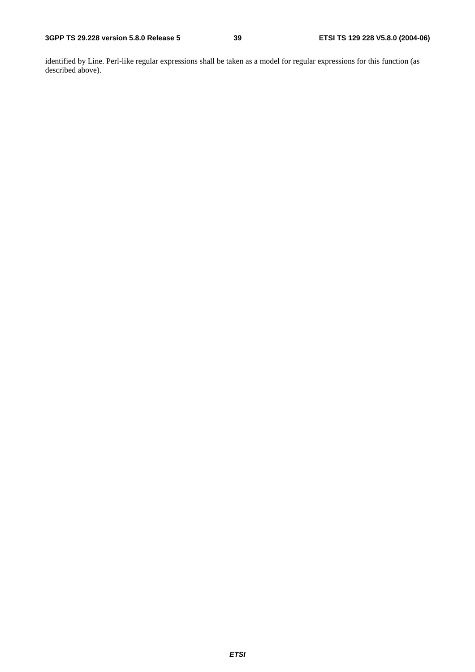identified by Line. Perl-like regular expressions shall be taken as a model for regular expressions for this function (as described above).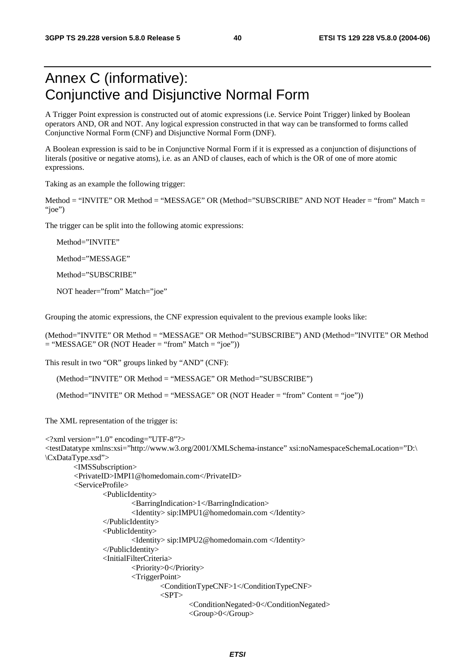## Annex C (informative): Conjunctive and Disjunctive Normal Form

A Trigger Point expression is constructed out of atomic expressions (i.e. Service Point Trigger) linked by Boolean operators AND, OR and NOT. Any logical expression constructed in that way can be transformed to forms called Conjunctive Normal Form (CNF) and Disjunctive Normal Form (DNF).

A Boolean expression is said to be in Conjunctive Normal Form if it is expressed as a conjunction of disjunctions of literals (positive or negative atoms), i.e. as an AND of clauses, each of which is the OR of one of more atomic expressions.

Taking as an example the following trigger:

Method = "INVITE" OR Method = "MESSAGE" OR (Method="SUBSCRIBE" AND NOT Header = "from" Match = "joe")

The trigger can be split into the following atomic expressions:

Method="INVITE"

Method="MESSAGE"

Method="SUBSCRIBE"

NOT header="from" Match="joe"

Grouping the atomic expressions, the CNF expression equivalent to the previous example looks like:

(Method="INVITE" OR Method = "MESSAGE" OR Method="SUBSCRIBE") AND (Method="INVITE" OR Method  $=$  "MESSAGE" OR (NOT Header  $=$  "from" Match  $=$  "joe"))

This result in two "OR" groups linked by "AND" (CNF):

(Method="INVITE" OR Method = "MESSAGE" OR Method="SUBSCRIBE")

(Method="INVITE" OR Method = "MESSAGE" OR (NOT Header = "from" Content = "joe"))

The XML representation of the trigger is:

```
<?xml version="1.0" encoding="UTF-8"?> 
<testDatatype xmlns:xsi="http://www.w3.org/2001/XMLSchema-instance" xsi:noNamespaceSchemaLocation="D:\ 
\CxDataType.xsd"> 
         <IMSSubscription> 
         <PrivateID>IMPI1@homedomain.com</PrivateID> 
         <ServiceProfile> 
                  <PublicIdentity> 
                          <BarringIndication>1</BarringIndication> 
                          <Identity> sip:IMPU1@homedomain.com </Identity> 
                  </PublicIdentity> 
                  <PublicIdentity> 
                          <Identity> sip:IMPU2@homedomain.com </Identity> 
                  </PublicIdentity> 
                  <InitialFilterCriteria> 
                          <Priority>0</Priority> 
                          <TriggerPoint> 
                                   <ConditionTypeCNF>1</ConditionTypeCNF> 
                                  <SPT> <ConditionNegated>0</ConditionNegated> 
                                           <Group>0</Group>
```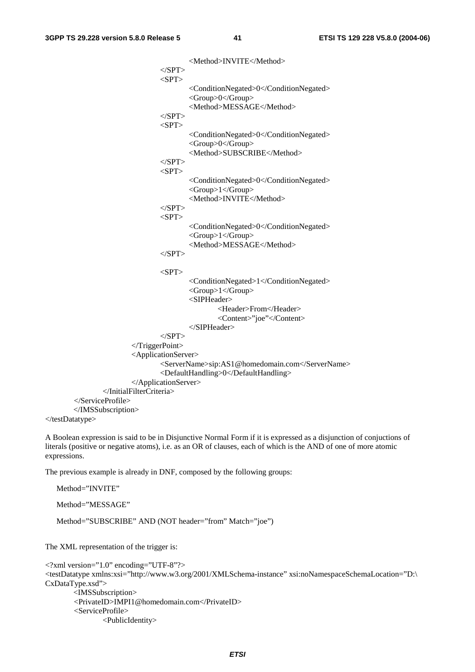<Method>INVITE</Method>  $<$ /SPT>  $<$ SPT $>$  <ConditionNegated>0</ConditionNegated> <Group>0</Group> <Method>MESSAGE</Method>  $<$ /SPT>  $<$ SPT $>$  <ConditionNegated>0</ConditionNegated> <Group>0</Group> <Method>SUBSCRIBE</Method>  $\langle$ SPT $>$  $<$ SPT $>$  <ConditionNegated>0</ConditionNegated> <Group>1</Group> <Method>INVITE</Method>  $<$ /SPT $>$  $<$ SPT $>$  <ConditionNegated>0</ConditionNegated> <Group>1</Group> <Method>MESSAGE</Method>  $<$ /SPT $>$  $\langle$ SPT $>$  <ConditionNegated>1</ConditionNegated> <Group>1</Group> <SIPHeader> <Header>From</Header> <Content>"joe"</Content> </SIPHeader>  $<$ /SPT $>$  </TriggerPoint> <ApplicationServer> <ServerName>sip:AS1@homedomain.com</ServerName> <DefaultHandling>0</DefaultHandling> </ApplicationServer> </InitialFilterCriteria> </ServiceProfile> </IMSSubscription>

</testDatatype>

Method="INVITE"

A Boolean expression is said to be in Disjunctive Normal Form if it is expressed as a disjunction of conjuctions of literals (positive or negative atoms), i.e. as an OR of clauses, each of which is the AND of one of more atomic expressions.

The previous example is already in DNF, composed by the following groups:

```
Method="MESSAGE" 
   Method="SUBSCRIBE" AND (NOT header="from" Match="joe") 
The XML representation of the trigger is: 
<?xml version="1.0" encoding="UTF-8"?> 
<testDatatype xmlns:xsi="http://www.w3.org/2001/XMLSchema-instance" xsi:noNamespaceSchemaLocation="D:\ 
CxDataType.xsd"> 
         <IMSSubscription> 
         <PrivateID>IMPI1@homedomain.com</PrivateID> 
         <ServiceProfile> 
                 <PublicIdentity>
```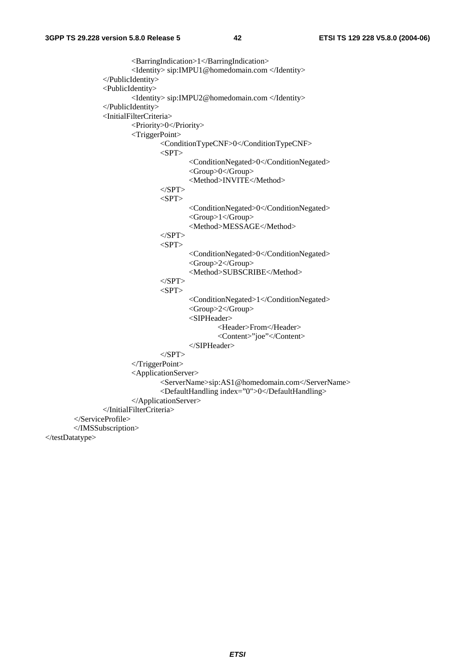<BarringIndication>1</BarringIndication> <Identity> sip:IMPU1@homedomain.com </Identity> </PublicIdentity> <PublicIdentity> <Identity> sip:IMPU2@homedomain.com </Identity> </PublicIdentity> <InitialFilterCriteria> <Priority>0</Priority> <TriggerPoint> <ConditionTypeCNF>0</ConditionTypeCNF>  $<$ SPT $>$  <ConditionNegated>0</ConditionNegated> <Group>0</Group> <Method>INVITE</Method>  $\langle$ SPT $>$  $<$ SPT $>$  <ConditionNegated>0</ConditionNegated> <Group>1</Group> <Method>MESSAGE</Method>  $<$ /SPT $>$  $\langle$ SPT $>$  <ConditionNegated>0</ConditionNegated> <Group>2</Group> <Method>SUBSCRIBE</Method>  $<$ /SPT>  $<$ SPT $>$  <ConditionNegated>1</ConditionNegated> <Group>2</Group> <SIPHeader> <Header>From</Header> <Content>"joe"</Content> </SIPHeader>  $\langle$ SPT $>$  </TriggerPoint> <ApplicationServer> <ServerName>sip:AS1@homedomain.com</ServerName> <DefaultHandling index="0">0</DefaultHandling> </ApplicationServer> </InitialFilterCriteria> </ServiceProfile> </IMSSubscription> </testDatatype>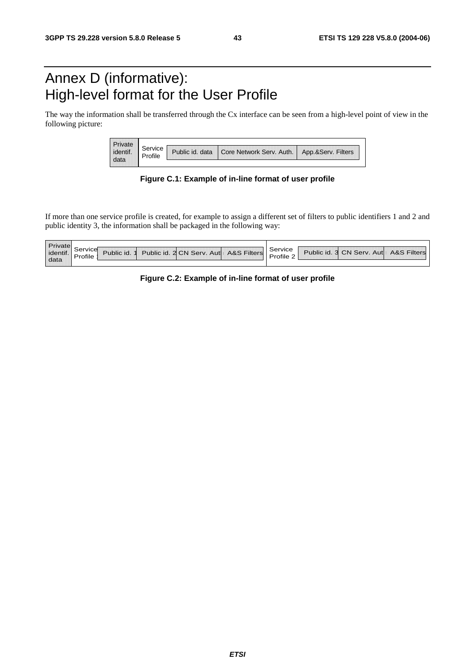## Annex D (informative): High-level format for the User Profile

The way the information shall be transferred through the Cx interface can be seen from a high-level point of view in the following picture:

| Private  |         |                                            |                    |
|----------|---------|--------------------------------------------|--------------------|
| identif. | Service | Public id. data   Core Network Serv. Auth. | App.&Serv. Filters |
|          |         |                                            |                    |

**Figure C.1: Example of in-line format of user profile** 

If more than one service profile is created, for example to assign a different set of filters to public identifiers 1 and 2 and public identity 3, the information shall be packaged in the following way:

| Private  |          |             |                                       |           |                                       |  |
|----------|----------|-------------|---------------------------------------|-----------|---------------------------------------|--|
| identif. | Service  |             | Public id. 2 CN Serv. Aut A&S Filters | Service   | Public id. 3 CN Serv. Aut A&S Filters |  |
|          | $\cdots$ | ublic id. 1 |                                       | Profile 2 |                                       |  |
| data     |          |             |                                       |           |                                       |  |

**Figure C.2: Example of in-line format of user profile**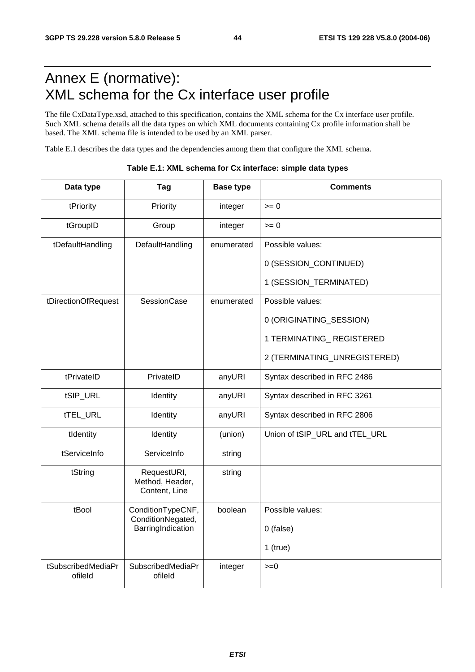## Annex E (normative): XML schema for the Cx interface user profile

The file CxDataType.xsd, attached to this specification, contains the XML schema for the Cx interface user profile. Such XML schema details all the data types on which XML documents containing Cx profile information shall be based. The XML schema file is intended to be used by an XML parser.

Table E.1 describes the data types and the dependencies among them that configure the XML schema.

| Data type                     | Tag                                             | <b>Base type</b> | <b>Comments</b>                |
|-------------------------------|-------------------------------------------------|------------------|--------------------------------|
| tPriority                     | Priority                                        | integer          | $>= 0$                         |
| tGroupID                      | Group                                           | integer          | $>= 0$                         |
| tDefaultHandling              | DefaultHandling                                 | enumerated       | Possible values:               |
|                               |                                                 |                  | 0 (SESSION_CONTINUED)          |
|                               |                                                 |                  | 1 (SESSION_TERMINATED)         |
| tDirectionOfRequest           | <b>SessionCase</b>                              | enumerated       | Possible values:               |
|                               |                                                 |                  | 0 (ORIGINATING_SESSION)        |
|                               |                                                 |                  | 1 TERMINATING_REGISTERED       |
|                               |                                                 |                  | 2 (TERMINATING_UNREGISTERED)   |
| tPrivateID                    | PrivateID                                       | anyURI           | Syntax described in RFC 2486   |
| tSIP_URL                      | Identity                                        | anyURI           | Syntax described in RFC 3261   |
| tTEL_URL                      | Identity                                        | anyURI           | Syntax described in RFC 2806   |
| tIdentity                     | Identity                                        | (union)          | Union of tSIP_URL and tTEL_URL |
| tServiceInfo                  | ServiceInfo                                     | string           |                                |
| tString                       | RequestURI,<br>Method, Header,<br>Content, Line | string           |                                |
| tBool                         | ConditionTypeCNF,<br>ConditionNegated,          | boolean          | Possible values:               |
|                               | BarringIndication                               |                  | 0 (false)                      |
|                               |                                                 |                  | $1$ (true)                     |
| tSubscribedMediaPr<br>ofileld | SubscribedMediaPr<br>ofileld                    | integer          | $>=0$                          |

**Table E.1: XML schema for Cx interface: simple data types**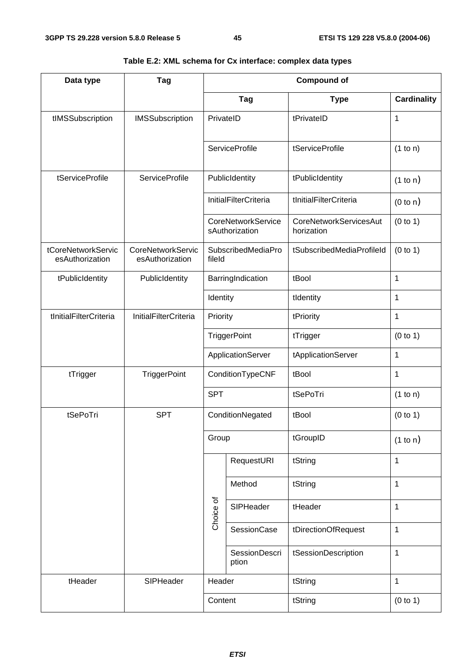| Data type                             | Tag                                         |            |                                             | <b>Compound of</b>                          |                    |  |
|---------------------------------------|---------------------------------------------|------------|---------------------------------------------|---------------------------------------------|--------------------|--|
|                                       |                                             |            | <b>Tag</b>                                  | <b>Type</b>                                 | <b>Cardinality</b> |  |
| tIMSSubscription                      | <b>IMSSubscription</b>                      | PrivateID  |                                             | tPrivateID                                  | 1                  |  |
|                                       |                                             |            | <b>ServiceProfile</b>                       | tServiceProfile                             | (1 to n)           |  |
| tServiceProfile                       | <b>ServiceProfile</b>                       |            | PublicIdentity                              | tPublicIdentity                             | (1 to n)           |  |
|                                       |                                             |            | <b>InitialFilterCriteria</b>                | tInitialFilterCriteria                      | (0 to n)           |  |
|                                       |                                             |            | <b>CoreNetworkService</b><br>sAuthorization | <b>CoreNetworkServicesAut</b><br>horization | (0 to 1)           |  |
| tCoreNetworkServic<br>esAuthorization | <b>CoreNetworkServic</b><br>esAuthorization | fileld     | SubscribedMediaPro                          | tSubscribedMediaProfileId                   | (0 to 1)           |  |
| tPublicIdentity                       | PublicIdentity                              |            | BarringIndication                           | tBool                                       | $\mathbf{1}$       |  |
|                                       |                                             | Identity   |                                             | tIdentity                                   | 1                  |  |
| tInitialFilterCriteria                | <b>InitialFilterCriteria</b>                | Priority   |                                             | tPriority                                   | $\mathbf{1}$       |  |
|                                       |                                             |            | TriggerPoint                                | tTrigger                                    | (0 to 1)           |  |
|                                       |                                             |            | ApplicationServer                           | tApplicationServer                          | $\mathbf{1}$       |  |
| tTrigger                              | <b>TriggerPoint</b>                         |            | ConditionTypeCNF                            | tBool                                       | $\mathbf{1}$       |  |
|                                       |                                             | <b>SPT</b> |                                             | tSePoTri                                    | (1 to n)           |  |
| tSePoTri                              | <b>SPT</b>                                  |            | ConditionNegated                            | tBool                                       | (0 to 1)           |  |
|                                       |                                             | Group      |                                             | tGroupID                                    | (1 to n)           |  |
|                                       |                                             |            | RequestURI                                  | tString                                     | $\mathbf{1}$       |  |
|                                       |                                             |            | Method                                      | tString                                     | $\mathbf{1}$       |  |
|                                       |                                             | Choice of  | SIPHeader                                   | tHeader                                     | $\mathbf 1$        |  |
|                                       |                                             |            | <b>SessionCase</b>                          | tDirectionOfRequest                         | $\mathbf 1$        |  |
|                                       |                                             |            | <b>SessionDescri</b><br>ption               | tSessionDescription                         | $\mathbf{1}$       |  |
| tHeader                               | SIPHeader                                   | Header     |                                             | tString                                     | $\mathbf{1}$       |  |
|                                       |                                             | Content    |                                             | tString                                     | (0 to 1)           |  |

#### **Table E.2: XML schema for Cx interface: complex data types**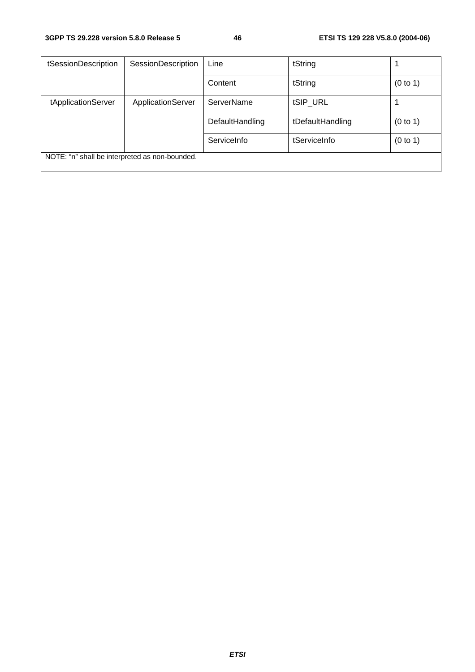| tSessionDescription                            | <b>SessionDescription</b> | Line            | tString          |          |
|------------------------------------------------|---------------------------|-----------------|------------------|----------|
|                                                |                           | Content         | tString          | (0 to 1) |
| tApplicationServer                             | ApplicationServer         | ServerName      | tSIP_URL         |          |
|                                                |                           | DefaultHandling | tDefaultHandling | (0 to 1) |
|                                                |                           | ServiceInfo     | tServiceInfo     | (0 to 1) |
| NOTE: "n" shall be interpreted as non-bounded. |                           |                 |                  |          |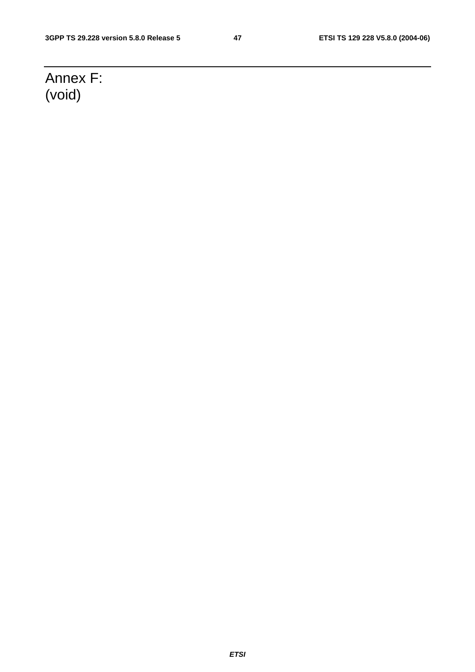## Annex F: (void)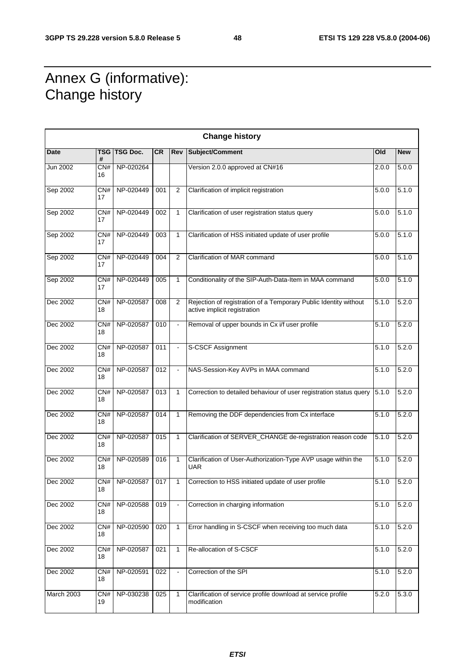## Annex G (informative): Change history

| <b>Change history</b> |                        |              |           |                |                                                                                                  |       |            |  |  |  |
|-----------------------|------------------------|--------------|-----------|----------------|--------------------------------------------------------------------------------------------------|-------|------------|--|--|--|
| Date                  | #                      | TSG TSG Doc. | <b>CR</b> | Rev            | Subject/Comment                                                                                  | Old   | <b>New</b> |  |  |  |
| Jun 2002              | CN#<br>16              | NP-020264    |           |                | Version 2.0.0 approved at CN#16                                                                  | 2.0.0 | 5.0.0      |  |  |  |
| Sep 2002              | CN#<br>17              | NP-020449    | 001       | 2              | Clarification of implicit registration                                                           | 5.0.0 | 5.1.0      |  |  |  |
| Sep 2002              | CN#<br>17              | NP-020449    | 002       | $\mathbf{1}$   | Clarification of user registration status query                                                  | 5.0.0 | 5.1.0      |  |  |  |
| Sep 2002              | CN#<br>17              | NP-020449    | 003       | $\mathbf{1}$   | Clarification of HSS initiated update of user profile                                            | 5.0.0 | 5.1.0      |  |  |  |
| Sep 2002              | CN#<br>17              | NP-020449    | 004       | 2              | Clarification of MAR command                                                                     | 5.0.0 | 5.1.0      |  |  |  |
| Sep 2002              | CN#<br>17              | NP-020449    | 005       | $\mathbf{1}$   | Conditionality of the SIP-Auth-Data-Item in MAA command                                          | 5.0.0 | 5.1.0      |  |  |  |
| Dec 2002              | CN#<br>18              | NP-020587    | 008       | 2              | Rejection of registration of a Temporary Public Identity without<br>active implicit registration | 5.1.0 | 5.2.0      |  |  |  |
| Dec 2002              | CN#<br>18              | NP-020587    | 010       | $\blacksquare$ | Removal of upper bounds in Cx i/f user profile                                                   | 5.1.0 | 5.2.0      |  |  |  |
| Dec 2002              | CN#<br>18              | NP-020587    | 011       |                | S-CSCF Assignment                                                                                | 5.1.0 | 5.2.0      |  |  |  |
| Dec 2002              | $\overline{CN#}$<br>18 | NP-020587    | 012       | $\blacksquare$ | NAS-Session-Key AVPs in MAA command                                                              | 5.1.0 | 5.2.0      |  |  |  |
| Dec 2002              | CN#<br>18              | NP-020587    | 013       | $\mathbf{1}$   | Correction to detailed behaviour of user registration status query                               | 5.1.0 | 5.2.0      |  |  |  |
| Dec 2002              | CN#<br>18              | NP-020587    | 014       | $\mathbf{1}$   | Removing the DDF dependencies from Cx interface                                                  | 5.1.0 | 5.2.0      |  |  |  |
| Dec 2002              | CN#<br>18              | NP-020587    | 015       | $\mathbf{1}$   | Clarification of SERVER_CHANGE de-registration reason code                                       | 5.1.0 | 5.2.0      |  |  |  |
| Dec 2002              | CN#<br>18              | NP-020589    | 016       | $\mathbf{1}$   | Clarification of User-Authorization-Type AVP usage within the<br><b>UAR</b>                      | 5.1.0 | 5.2.0      |  |  |  |
| Dec 2002              | CN#<br>18              | NP-020587    | 017       | $\mathbf{1}$   | Correction to HSS initiated update of user profile                                               | 5.1.0 | 5.2.0      |  |  |  |
| Dec 2002              | CN#<br>18              | NP-020588    | 019       |                | Correction in charging information                                                               | 5.1.0 | 5.2.0      |  |  |  |
| Dec 2002              | CN#<br>18              | NP-020590    | 020       | $\mathbf{1}$   | Error handling in S-CSCF when receiving too much data                                            | 5.1.0 | 5.2.0      |  |  |  |
| Dec 2002              | CN#<br>18              | NP-020587    | 021       | $\mathbf{1}$   | Re-allocation of S-CSCF                                                                          | 5.1.0 | 5.2.0      |  |  |  |
| Dec 2002              | CN#<br>18              | NP-020591    | 022       |                | Correction of the SPI                                                                            | 5.1.0 | 5.2.0      |  |  |  |
| March 2003            | CN#<br>19              | NP-030238    | 025       | $\mathbf{1}$   | Clarification of service profile download at service profile<br>modification                     | 5.2.0 | 5.3.0      |  |  |  |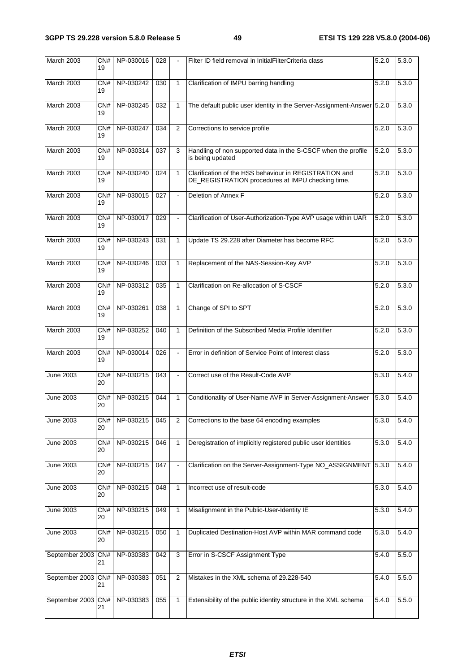| March 2003         | CN#<br>19 | NP-030016 | 028 |                | Filter ID field removal in InitialFilterCriteria class                                                      | 5.2.0 | 5.3.0 |
|--------------------|-----------|-----------|-----|----------------|-------------------------------------------------------------------------------------------------------------|-------|-------|
| March 2003         | CN#<br>19 | NP-030242 | 030 | $\mathbf{1}$   | Clarification of IMPU barring handling                                                                      | 5.2.0 | 5.3.0 |
| <b>March 2003</b>  | CN#<br>19 | NP-030245 | 032 | $\mathbf{1}$   | The default public user identity in the Server-Assignment-Answer 5.2.0                                      |       | 5.3.0 |
| March 2003         | CN#<br>19 | NP-030247 | 034 | $\overline{2}$ | Corrections to service profile                                                                              | 5.2.0 | 5.3.0 |
| March 2003         | CN#<br>19 | NP-030314 | 037 | 3              | Handling of non supported data in the S-CSCF when the profile<br>is being updated                           | 5.2.0 | 5.3.0 |
| <b>March 2003</b>  | CN#<br>19 | NP-030240 | 024 | $\mathbf{1}$   | Clarification of the HSS behaviour in REGISTRATION and<br>DE_REGISTRATION procedures at IMPU checking time. | 5.2.0 | 5.3.0 |
| March 2003         | CN#<br>19 | NP-030015 | 027 | $\blacksquare$ | Deletion of Annex F                                                                                         | 5.2.0 | 5.3.0 |
| March 2003         | CN#<br>19 | NP-030017 | 029 |                | Clarification of User-Authorization-Type AVP usage within UAR                                               | 5.2.0 | 5.3.0 |
| March 2003         | CN#<br>19 | NP-030243 | 031 | $\mathbf{1}$   | Update TS 29.228 after Diameter has become RFC                                                              | 5.2.0 | 5.3.0 |
| March 2003         | CN#<br>19 | NP-030246 | 033 | $\mathbf{1}$   | Replacement of the NAS-Session-Key AVP                                                                      | 5.2.0 | 5.3.0 |
| March 2003         | CN#<br>19 | NP-030312 | 035 | $\mathbf{1}$   | Clarification on Re-allocation of S-CSCF                                                                    | 5.2.0 | 5.3.0 |
| <b>March 2003</b>  | CN#<br>19 | NP-030261 | 038 | $\mathbf{1}$   | Change of SPI to SPT                                                                                        | 5.2.0 | 5.3.0 |
| March 2003         | CN#<br>19 | NP-030252 | 040 | $\mathbf{1}$   | Definition of the Subscribed Media Profile Identifier                                                       | 5.2.0 | 5.3.0 |
| March 2003         | CN#<br>19 | NP-030014 | 026 | $\blacksquare$ | Error in definition of Service Point of Interest class                                                      | 5.2.0 | 5.3.0 |
| June 2003          | CN#<br>20 | NP-030215 | 043 | $\blacksquare$ | Correct use of the Result-Code AVP                                                                          | 5.3.0 | 5.4.0 |
| <b>June 2003</b>   | CN#<br>20 | NP-030215 | 044 | $\mathbf{1}$   | Conditionality of User-Name AVP in Server-Assignment-Answer                                                 | 5.3.0 | 5.4.0 |
| June 2003          | CN#<br>20 | NP-030215 | 045 | $\overline{2}$ | Corrections to the base 64 encoding examples                                                                | 5.3.0 | 5.4.0 |
| June 2003          | CN#<br>20 | NP-030215 | 046 | $\mathbf{1}$   | Deregistration of implicitly registered public user identities                                              | 5.3.0 | 5.4.0 |
| <b>June 2003</b>   | CN#<br>20 | NP-030215 | 047 | $\blacksquare$ | Clarification on the Server-Assignment-Type NO_ASSIGNMENT 5.3.0                                             |       | 5.4.0 |
| <b>June 2003</b>   | CN#<br>20 | NP-030215 | 048 | 1              | Incorrect use of result-code                                                                                | 5.3.0 | 5.4.0 |
| June 2003          | CN#<br>20 | NP-030215 | 049 | 1              | Misalignment in the Public-User-Identity IE                                                                 | 5.3.0 | 5.4.0 |
| June 2003          | CN#<br>20 | NP-030215 | 050 | 1              | Duplicated Destination-Host AVP within MAR command code                                                     | 5.3.0 | 5.4.0 |
| September 2003 CN# | 21        | NP-030383 | 042 | $\overline{3}$ | Error in S-CSCF Assignment Type                                                                             | 5.4.0 | 5.5.0 |
| September 2003 CN# | 21        | NP-030383 | 051 | 2              | Mistakes in the XML schema of 29.228-540                                                                    | 5.4.0 | 5.5.0 |
| September 2003 CN# | 21        | NP-030383 | 055 | $\mathbf{1}$   | Extensibility of the public identity structure in the XML schema                                            | 5.4.0 | 5.5.0 |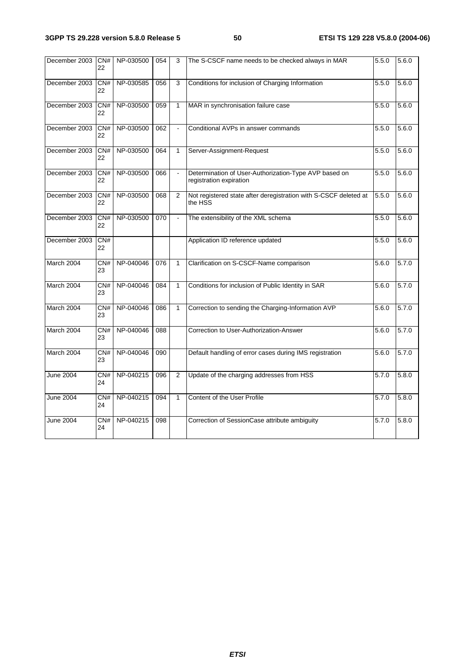| December 2003 | CN#<br>22              | NP-030500 | 054 | 3            | The S-CSCF name needs to be checked always in MAR                                | 5.5.0 | 5.6.0 |
|---------------|------------------------|-----------|-----|--------------|----------------------------------------------------------------------------------|-------|-------|
| December 2003 | CN#<br>22              | NP-030585 | 056 | 3            | Conditions for inclusion of Charging Information                                 | 5.5.0 | 5.6.0 |
| December 2003 | CN#<br>22              | NP-030500 | 059 | $\mathbf{1}$ | MAR in synchronisation failure case                                              | 5.5.0 | 5.6.0 |
| December 2003 | CN#<br>22              | NP-030500 | 062 | ÷,           | Conditional AVPs in answer commands                                              | 5.5.0 | 5.6.0 |
| December 2003 | CN#<br>22              | NP-030500 | 064 | $\mathbf{1}$ | Server-Assignment-Request                                                        | 5.5.0 | 5.6.0 |
| December 2003 | CN#<br>22              | NP-030500 | 066 |              | Determination of User-Authorization-Type AVP based on<br>registration expiration | 5.5.0 | 5.6.0 |
| December 2003 | CN#<br>22              | NP-030500 | 068 | 2            | Not registered state after deregistration with S-CSCF deleted at<br>the HSS      | 5.5.0 | 5.6.0 |
| December 2003 | CN#<br>22              | NP-030500 | 070 |              | The extensibility of the XML schema                                              | 5.5.0 | 5.6.0 |
| December 2003 | CN#<br>22              |           |     |              | Application ID reference updated                                                 | 5.5.0 | 5.6.0 |
| March 2004    | $\overline{CN#}$<br>23 | NP-040046 | 076 | $\mathbf{1}$ | Clarification on S-CSCF-Name comparison                                          | 5.6.0 | 5.7.0 |
| March 2004    | CN#<br>23              | NP-040046 | 084 | $\mathbf{1}$ | Conditions for inclusion of Public Identity in SAR                               | 5.6.0 | 5.7.0 |
| March 2004    | CN#<br>23              | NP-040046 | 086 | $\mathbf{1}$ | Correction to sending the Charging-Information AVP                               | 5.6.0 | 5.7.0 |
| March 2004    | CN#<br>23              | NP-040046 | 088 |              | Correction to User-Authorization-Answer                                          | 5.6.0 | 5.7.0 |
| March 2004    | CN#<br>23              | NP-040046 | 090 |              | Default handling of error cases during IMS registration                          | 5.6.0 | 5.7.0 |
| June 2004     | CN#<br>24              | NP-040215 | 096 | 2            | Update of the charging addresses from HSS                                        | 5.7.0 | 5.8.0 |
| June 2004     | CN#<br>24              | NP-040215 | 094 | $\mathbf{1}$ | Content of the User Profile                                                      | 5.7.0 | 5.8.0 |
| June 2004     | CN#<br>24              | NP-040215 | 098 |              | Correction of SessionCase attribute ambiguity                                    | 5.7.0 | 5.8.0 |